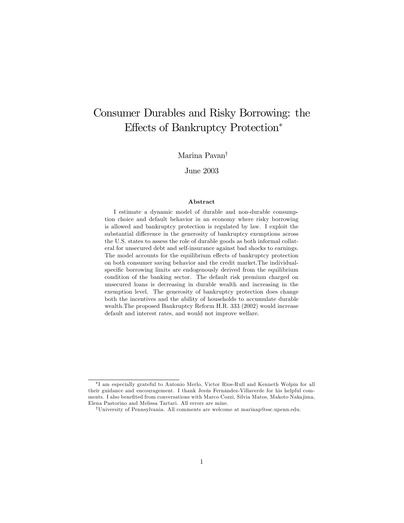# Consumer Durables and Risky Borrowing: the Effects of Bankruptcy Protection<sup>∗</sup>

### Marina Pavan†

### June 2003

#### Abstract

I estimate a dynamic model of durable and non-durable consumption choice and default behavior in an economy where risky borrowing is allowed and bankruptcy protection is regulated by law. I exploit the substantial difference in the generosity of bankruptcy exemptions across the U.S. states to assess the role of durable goods as both informal collateral for unsecured debt and self-insurance against bad shocks to earnings. The model accounts for the equilibrium effects of bankruptcy protection on both consumer saving behavior and the credit market.The individualspecific borrowing limits are endogenously derived from the equilibrium condition of the banking sector. The default risk premium charged on unsecured loans is decreasing in durable wealth and increasing in the exemption level. The generosity of bankruptcy protection does change both the incentives and the ability of households to accumulate durable wealth.The proposed Bankruptcy Reform H.R. 333 (2002) would increase default and interest rates, and would not improve welfare.

<sup>∗</sup>I am especially grateful to Antonio Merlo, Victor Rios-Rull and Kenneth Wolpin for all their guidance and encouragement. I thank Jesús Fernández-Villaverde for his helpful comments. I also benefited from conversations with Marco Cozzi, Silvia Matos, Makoto Naka jima, Elena Pastorino and Melissa Tartari. All errors are mine.

<sup>†</sup>University of Pennsylvania. All comments are welcome at marinap@ssc.upenn.edu.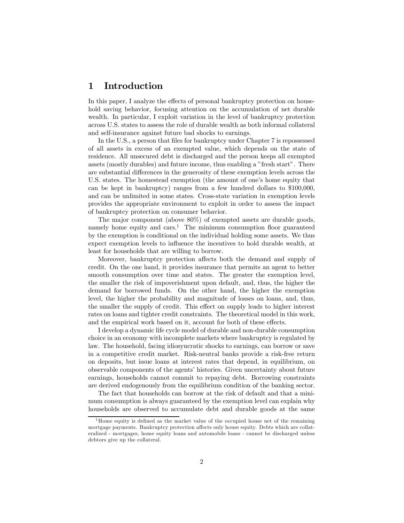# 1 Introduction

In this paper, I analyze the effects of personal bankruptcy protection on household saving behavior, focusing attention on the accumulation of net durable wealth. In particular, I exploit variation in the level of bankruptcy protection across U.S. states to assess the role of durable wealth as both informal collateral and self-insurance against future bad shocks to earnings.

In the U.S., a person that files for bankruptcy under Chapter 7 is repossessed of all assets in excess of an exempted value, which depends on the state of residence. All unsecured debt is discharged and the person keeps all exempted assets (mostly durables) and future income, thus enabling a "fresh start". There are substantial differences in the generosity of these exemption levels across the U.S. states. The homestead exemption (the amount of one's home equity that can be kept in bankruptcy) ranges from a few hundred dollars to \$100,000, and can be unlimited in some states. Cross-state variation in exemption levels provides the appropriate environment to exploit in order to assess the impact of bankruptcy protection on consumer behavior.

The major component (above 80%) of exempted assets are durable goods, namely home equity and cars.<sup>1</sup> The minimum consumption floor guaranteed by the exemption is conditional on the individual holding some assets. We thus expect exemption levels to influence the incentives to hold durable wealth, at least for households that are willing to borrow.

Moreover, bankruptcy protection affects both the demand and supply of credit. On the one hand, it provides insurance that permits an agent to better smooth consumption over time and states. The greater the exemption level, the smaller the risk of impoverishment upon default, and, thus, the higher the demand for borrowed funds. On the other hand, the higher the exemption level, the higher the probability and magnitude of losses on loans, and, thus, the smaller the supply of credit. This effect on supply leads to higher interest rates on loans and tighter credit constraints. The theoretical model in this work, and the empirical work based on it, account for both of these effects.

I develop a dynamic life cycle model of durable and non-durable consumption choice in an economy with incomplete markets where bankruptcy is regulated by law. The household, facing idiosyncratic shocks to earnings, can borrow or save in a competitive credit market. Risk-neutral banks provide a risk-free return on deposits, but issue loans at interest rates that depend, in equilibrium, on observable components of the agents' histories. Given uncertainty about future earnings, households cannot commit to repaying debt. Borrowing constraints are derived endogenously from the equilibrium condition of the banking sector.

The fact that households can borrow at the risk of default and that a minimum consumption is always guaranteed by the exemption level can explain why households are observed to accumulate debt and durable goods at the same

<sup>&</sup>lt;sup>1</sup>Home equity is defined as the market value of the occupied house net of the remaining mortgage payments. Bankruptcy protection affects only house equity. Debts which are collateralized - mortgages, home equity loans and automobile loans - cannot be discharged unless debtors give up the collateral.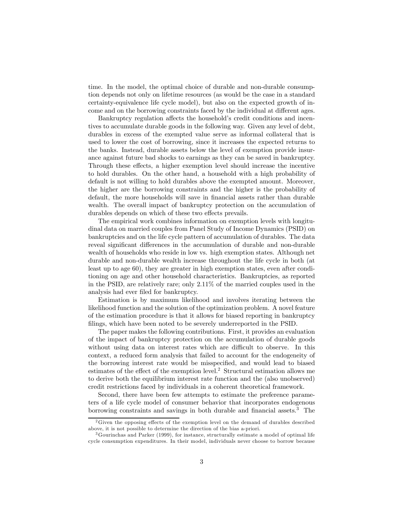time. In the model, the optimal choice of durable and non-durable consumption depends not only on lifetime resources (as would be the case in a standard certainty-equivalence life cycle model), but also on the expected growth of income and on the borrowing constraints faced by the individual at different ages.

Bankruptcy regulation affects the household's credit conditions and incentives to accumulate durable goods in the following way. Given any level of debt, durables in excess of the exempted value serve as informal collateral that is used to lower the cost of borrowing, since it increases the expected returns to the banks. Instead, durable assets below the level of exemption provide insurance against future bad shocks to earnings as they can be saved in bankruptcy. Through these effects, a higher exemption level should increase the incentive to hold durables. On the other hand, a household with a high probability of default is not willing to hold durables above the exempted amount. Moreover, the higher are the borrowing constraints and the higher is the probability of default, the more households will save in financial assets rather than durable wealth. The overall impact of bankruptcy protection on the accumulation of durables depends on which of these two effects prevails.

The empirical work combines information on exemption levels with longitudinal data on married couples from Panel Study of Income Dynamics (PSID) on bankruptcies and on the life cycle pattern of accumulation of durables. The data reveal significant differences in the accumulation of durable and non-durable wealth of households who reside in low vs. high exemption states. Although net durable and non-durable wealth increase throughout the life cycle in both (at least up to age 60), they are greater in high exemption states, even after conditioning on age and other household characteristics. Bankruptcies, as reported in the PSID, are relatively rare; only 2.11% of the married couples used in the analysis had ever filed for bankruptcy.

Estimation is by maximum likelihood and involves iterating between the likelihood function and the solution of the optimization problem. A novel feature of the estimation procedure is that it allows for biased reporting in bankruptcy filings, which have been noted to be severely underreported in the PSID.

The paper makes the following contributions. First, it provides an evaluation of the impact of bankruptcy protection on the accumulation of durable goods without using data on interest rates which are difficult to observe. In this context, a reduced form analysis that failed to account for the endogeneity of the borrowing interest rate would be misspecified, and would lead to biased estimates of the effect of the exemption level.2 Structural estimation allows me to derive both the equilibrium interest rate function and the (also unobserved) credit restrictions faced by individuals in a coherent theoretical framework.

Second, there have been few attempts to estimate the preference parameters of a life cycle model of consumer behavior that incorporates endogenous borrowing constraints and savings in both durable and financial assets.<sup>3</sup> The

<sup>&</sup>lt;sup>2</sup>Given the opposing effects of the exemption level on the demand of durables described above, it is not possible to determine the direction of the bias a-priori.

<sup>3</sup>Gourinchas and Parker (1999), for instance, structurally estimate a model of optimal life cycle consumption expenditures. In their model, individuals never choose to borrow because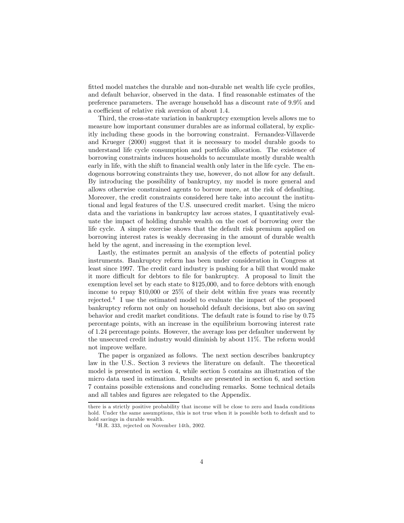fitted model matches the durable and non-durable net wealth life cycle profiles, and default behavior, observed in the data. I find reasonable estimates of the preference parameters. The average household has a discount rate of 9.9% and a coefficient of relative risk aversion of about 1.4.

Third, the cross-state variation in bankruptcy exemption levels allows me to measure how important consumer durables are as informal collateral, by explicitly including these goods in the borrowing constraint. Fernandez-Villaverde and Krueger (2000) suggest that it is necessary to model durable goods to understand life cycle consumption and portfolio allocation. The existence of borrowing constraints induces households to accumulate mostly durable wealth early in life, with the shift to financial wealth only later in the life cycle. The endogenous borrowing constraints they use, however, do not allow for any default. By introducing the possibility of bankruptcy, my model is more general and allows otherwise constrained agents to borrow more, at the risk of defaulting. Moreover, the credit constraints considered here take into account the institutional and legal features of the U.S. unsecured credit market. Using the micro data and the variations in bankruptcy law across states, I quantitatively evaluate the impact of holding durable wealth on the cost of borrowing over the life cycle. A simple exercise shows that the default risk premium applied on borrowing interest rates is weakly decreasing in the amount of durable wealth held by the agent, and increasing in the exemption level.

Lastly, the estimates permit an analysis of the effects of potential policy instruments. Bankruptcy reform has been under consideration in Congress at least since 1997. The credit card industry is pushing for a bill that would make it more difficult for debtors to file for bankruptcy. A proposal to limit the exemption level set by each state to \$125,000, and to force debtors with enough income to repay \$10,000 or 25% of their debt within five years was recently rejected.4 I use the estimated model to evaluate the impact of the proposed bankruptcy reform not only on household default decisions, but also on saving behavior and credit market conditions. The default rate is found to rise by 0.75 percentage points, with an increase in the equilibrium borrowing interest rate of 1.24 percentage points. However, the average loss per defaulter underwent by the unsecured credit industry would diminish by about 11%. The reform would not improve welfare.

The paper is organized as follows. The next section describes bankruptcy law in the U.S.. Section 3 reviews the literature on default. The theoretical model is presented in section 4, while section 5 contains an illustration of the micro data used in estimation. Results are presented in section 6, and section 7 contains possible extensions and concluding remarks. Some technical details and all tables and figures are relegated to the Appendix.

there is a strictly positive probability that income will be close to zero and Inada conditions hold. Under the same assumptions, this is not true when it is possible both to default and to hold savings in durable wealth.

 $4$ H.R. 333, rejected on November 14th, 2002.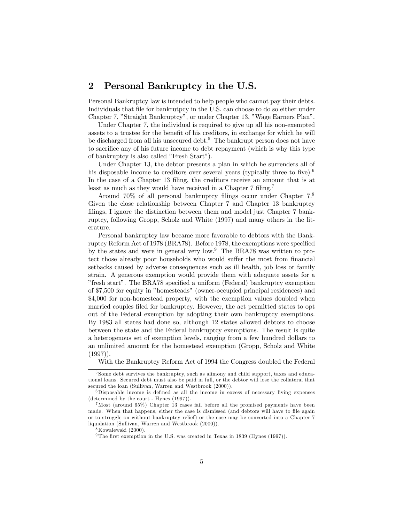# 2 Personal Bankruptcy in the U.S.

Personal Bankruptcy law is intended to help people who cannot pay their debts. Individuals that file for bankrutpcy in the U.S. can choose to do so either under Chapter 7, "Straight Bankruptcy", or under Chapter 13, "Wage Earners Plan".

Under Chapter 7, the individual is required to give up all his non-exempted assets to a trustee for the benefit of his creditors, in exchange for which he will be discharged from all his unsecured debt.<sup>5</sup> The bankrupt person does not have to sacrifice any of his future income to debt repayment (which is why this type of bankruptcy is also called "Fresh Start").

Under Chapter 13, the debtor presents a plan in which he surrenders all of his disposable income to creditors over several years (typically three to five).<sup>6</sup> In the case of a Chapter 13 filing, the creditors receive an amount that is at least as much as they would have received in a Chapter 7 filing.<sup>7</sup>

Around 70% of all personal bankruptcy filings occur under Chapter 7.<sup>8</sup> Given the close relationship between Chapter 7 and Chapter 13 bankruptcy filings, I ignore the distinction between them and model just Chapter 7 bankruptcy, following Gropp, Scholz and White (1997) and many others in the literature.

Personal bankruptcy law became more favorable to debtors with the Bankruptcy Reform Act of 1978 (BRA78). Before 1978, the exemptions were specified by the states and were in general very low.<sup>9</sup> The BRA78 was written to protect those already poor households who would suffer the most from financial setbacks caused by adverse consequences such as ill health, job loss or family strain. A generous exemption would provide them with adequate assets for a "fresh start". The BRA78 specified a uniform (Federal) bankruptcy exemption of \$7,500 for equity in "homesteads" (owner-occupied principal residences) and \$4,000 for non-homestead property, with the exemption values doubled when married couples filed for bankruptcy. However, the act permitted states to opt out of the Federal exemption by adopting their own bankruptcy exemptions. By 1983 all states had done so, although 12 states allowed debtors to choose between the state and the Federal bankruptcy exemptions. The result is quite a heterogenous set of exemption levels, ranging from a few hundred dollars to an unlimited amount for the homestead exemption (Gropp, Scholz and White  $(1997)$ .

With the Bankruptcy Reform Act of 1994 the Congress doubled the Federal

<sup>5</sup> Some debt survives the bankruptcy, such as alimony and child support, taxes and educational loans. Secured debt must also be paid in full, or the debtor will lose the collateral that secured the loan (Sullivan, Warren and Westbrook (2000)).

 $6$ Disposable income is defined as all the income in excess of necessary living expenses (determined by the court - Hynes (1997)).

 $^{7}$ Most (around 65%) Chapter 13 cases fail before all the promised payments have been made. When that happens, either the case is dismissed (and debtors will have to file again or to struggle on without bankruptcy relief) or the case may be converted into a Chapter 7 liquidation (Sullivan, Warren and Westbrook (2000)).

<sup>8</sup>Kowalewski (2000).

<sup>&</sup>lt;sup>9</sup>The first exemption in the U.S. was created in Texas in 1839 (Hynes (1997)).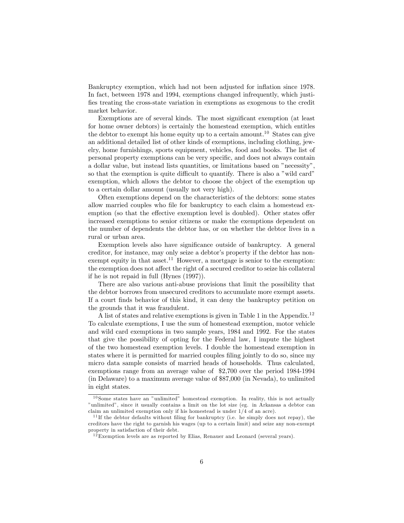Bankruptcy exemption, which had not been adjusted for inflation since 1978. In fact, between 1978 and 1994, exemptions changed infrequently, which justifies treating the cross-state variation in exemptions as exogenous to the credit market behavior.

Exemptions are of several kinds. The most significant exemption (at least for home owner debtors) is certainly the homestead exemption, which entitles the debtor to exempt his home equity up to a certain amount.<sup>10</sup> States can give an additional detailed list of other kinds of exemptions, including clothing, jewelry, home furnishings, sports equipment, vehicles, food and books. The list of personal property exemptions can be very specific, and does not always contain a dollar value, but instead lists quantities, or limitations based on "necessity", so that the exemption is quite difficult to quantify. There is also a "wild card" exemption, which allows the debtor to choose the object of the exemption up to a certain dollar amount (usually not very high).

Often exemptions depend on the characteristics of the debtors: some states allow married couples who file for bankruptcy to each claim a homestead exemption (so that the effective exemption level is doubled). Other states offer increased exemptions to senior citizens or make the exemptions dependent on the number of dependents the debtor has, or on whether the debtor lives in a rural or urban area.

Exemption levels also have significance outside of bankruptcy. A general creditor, for instance, may only seize a debtor's property if the debtor has nonexempt equity in that asset.<sup>11</sup> However, a mortgage is senior to the exemption: the exemption does not affect the right of a secured creditor to seize his collateral if he is not repaid in full (Hynes (1997)).

There are also various anti-abuse provisions that limit the possibility that the debtor borrows from unsecured creditors to accumulate more exempt assets. If a court finds behavior of this kind, it can deny the bankruptcy petition on the grounds that it was fraudulent.

A list of states and relative exemptions is given in Table 1 in the Appendix.<sup>12</sup> To calculate exemptions, I use the sum of homestead exemption, motor vehicle and wild card exemptions in two sample years, 1984 and 1992. For the states that give the possibility of opting for the Federal law, I impute the highest of the two homestead exemption levels. I double the homestead exemption in states where it is permitted for married couples filing jointly to do so, since my micro data sample consists of married heads of households. Thus calculated, exemptions range from an average value of \$2,700 over the period 1984-1994 (in Delaware) to a maximum average value of \$87,000 (in Nevada), to unlimited in eight states.

 $10$  Some states have an "unlimited" homestead exemption. In reality, this is not actually "unlimited", since it usually contains a limit on the lot size (eg. in Arkansas a debtor can claim an unlimited exemption only if his homestead is under 1/4 of an acre).

 $11$ If the debtor defaults without filing for bankruptcy (i.e. he simply does not repay), the creditors have the right to garnish his wages (up to a certain limit) and seize any non-exempt property in satisfaction of their debt.

 $12$  Exemption levels are as reported by Elias, Renauer and Leonard (several years).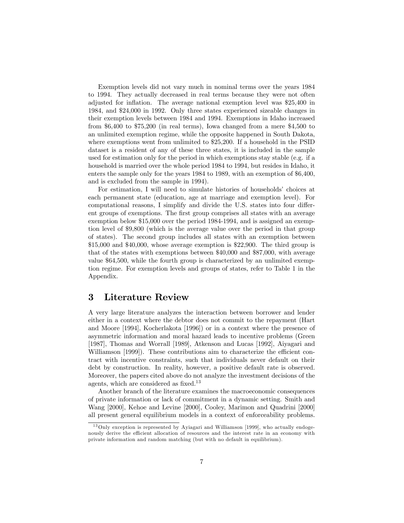Exemption levels did not vary much in nominal terms over the years 1984 to 1994. They actually decreased in real terms because they were not often adjusted for inflation. The average national exemption level was \$25,400 in 1984, and \$24,000 in 1992. Only three states experienced sizeable changes in their exemption levels between 1984 and 1994. Exemptions in Idaho increased from \$6,400 to \$75,200 (in real terms), Iowa changed from a mere \$4,500 to an unlimited exemption regime, while the opposite happened in South Dakota, where exemptions went from unlimited to \$25,200. If a household in the PSID dataset is a resident of any of these three states, it is included in the sample used for estimation only for the period in which exemptions stay stable (e.g. if a household is married over the whole period 1984 to 1994, but resides in Idaho, it enters the sample only for the years 1984 to 1989, with an exemption of \$6,400, and is excluded from the sample in 1994).

For estimation, I will need to simulate histories of households' choices at each permanent state (education, age at marriage and exemption level). For computational reasons, I simplify and divide the U.S. states into four different groups of exemptions. The first group comprises all states with an average exemption below \$15,000 over the period 1984-1994, and is assigned an exemption level of \$9,800 (which is the average value over the period in that group of states). The second group includes all states with an exemption between \$15,000 and \$40,000, whose average exemption is \$22,900. The third group is that of the states with exemptions between \$40,000 and \$87,000, with average value \$64,500, while the fourth group is characterized by an unlimited exemption regime. For exemption levels and groups of states, refer to Table 1 in the Appendix.

### 3 Literature Review

A very large literature analyzes the interaction between borrower and lender either in a context where the debtor does not commit to the repayment (Hart and Moore [1994], Kocherlakota [1996]) or in a context where the presence of asymmetric information and moral hazard leads to incentive problems (Green [1987], Thomas and Worrall [1989], Atkenson and Lucas [1992], Aiyagari and Williamson [1999]). These contributions aim to characterize the efficient contract with incentive constraints, such that individuals never default on their debt by construction. In reality, however, a positive default rate is observed. Moreover, the papers cited above do not analyze the investment decisions of the agents, which are considered as fixed.<sup>13</sup>

Another branch of the literature examines the macroeconomic consequences of private information or lack of commitment in a dynamic setting. Smith and Wang [2000], Kehoe and Levine [2000], Cooley, Marimon and Quadrini [2000] all present general equilibrium models in a context of enforceability problems.

 $13$ Only exception is represented by Ayiagari and Williamson [1999], who actually endogenously derive the efficient allocation of resources and the interest rate in an economy with private information and random matching (but with no default in equilibrium).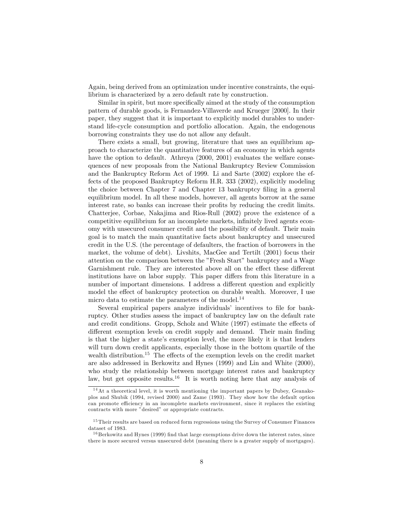Again, being derived from an optimization under incentive constraints, the equilibrium is characterized by a zero default rate by construction.

Similar in spirit, but more specifically aimed at the study of the consumption pattern of durable goods, is Fernandez-Villaverde and Krueger [2000]. In their paper, they suggest that it is important to explicitly model durables to understand life-cycle consumption and portfolio allocation. Again, the endogenous borrowing constraints they use do not allow any default.

There exists a small, but growing, literature that uses an equilibrium approach to characterize the quantitative features of an economy in which agents have the option to default. Athreya (2000, 2001) evaluates the welfare consequences of new proposals from the National Bankruptcy Review Commission and the Bankruptcy Reform Act of 1999. Li and Sarte (2002) explore the effects of the proposed Bankruptcy Reform H.R. 333 (2002), explicitly modeling the choice between Chapter 7 and Chapter 13 bankruptcy filing in a general equilibrium model. In all these models, however, all agents borrow at the same interest rate, so banks can increase their profits by reducing the credit limits. Chatterjee, Corbae, Nakajima and Rios-Rull (2002) prove the existence of a competitive equilibrium for an incomplete markets, infinitely lived agents economy with unsecured consumer credit and the possibility of default. Their main goal is to match the main quantitative facts about bankruptcy and unsecured credit in the U.S. (the percentage of defaulters, the fraction of borrowers in the market, the volume of debt). Livshits, MacGee and Tertilt (2001) focus their attention on the comparison between the "Fresh Start" bankruptcy and a Wage Garnishment rule. They are interested above all on the effect these different institutions have on labor supply. This paper differs from this literature in a number of important dimensions. I address a different question and explicitly model the effect of bankruptcy protection on durable wealth. Moreover, I use micro data to estimate the parameters of the model.<sup>14</sup>

Several empirical papers analyze individuals' incentives to file for bankruptcy. Other studies assess the impact of bankruptcy law on the default rate and credit conditions. Gropp, Scholz and White (1997) estimate the effects of different exemption levels on credit supply and demand. Their main finding is that the higher a state's exemption level, the more likely it is that lenders will turn down credit applicants, especially those in the bottom quartile of the wealth distribution.<sup>15</sup> The effects of the exemption levels on the credit market are also addressed in Berkowitz and Hynes (1999) and Lin and White (2000), who study the relationship between mortgage interest rates and bankruptcy law, but get opposite results.<sup>16</sup> It is worth noting here that any analysis of

 $14$ At a theoretical level, it is worth mentioning the important papers by Dubey, Geanakoplos and Shubik (1994, revised 2000) and Zame (1993). They show how the default option can promote efficiency in an incomplete markets environment, since it replaces the existing contracts with more "desired" or appropriate contracts.

<sup>&</sup>lt;sup>15</sup>Their results are based on reduced form regressions using the Survey of Consumer Finances dataset of 1983.

 $16$  Berkowitz and Hynes (1999) find that large exemptions drive down the interest rates, since there is more secured versus unsecured debt (meaning there is a greater supply of mortgages).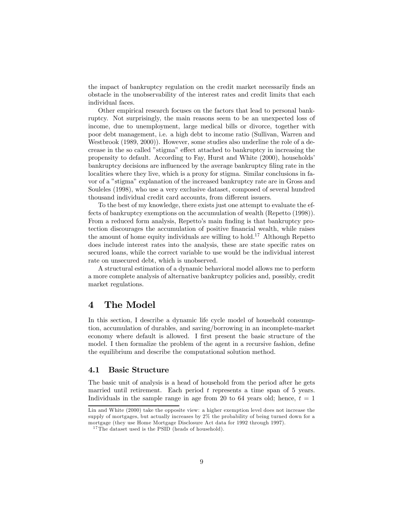the impact of bankruptcy regulation on the credit market necessarily finds an obstacle in the unobservability of the interest rates and credit limits that each individual faces.

Other empirical research focuses on the factors that lead to personal bankruptcy. Not surprisingly, the main reasons seem to be an unexpected loss of income, due to unemployment, large medical bills or divorce, together with poor debt management, i.e. a high debt to income ratio (Sullivan, Warren and Westbrook (1989, 2000)). However, some studies also underline the role of a decrease in the so called "stigma" effect attached to bankruptcy in increasing the propensity to default. According to Fay, Hurst and White (2000), households' bankruptcy decisions are influenced by the average bankruptcy filing rate in the localities where they live, which is a proxy for stigma. Similar conclusions in favor of a "stigma" explanation of the increased bankruptcy rate are in Gross and Souleles (1998), who use a very exclusive dataset, composed of several hundred thousand individual credit card accounts, from different issuers.

To the best of my knowledge, there exists just one attempt to evaluate the effects of bankruptcy exemptions on the accumulation of wealth (Repetto (1998)). From a reduced form analysis, Repetto's main finding is that bankruptcy protection discourages the accumulation of positive financial wealth, while raises the amount of home equity individuals are willing to hold.<sup>17</sup> Although Repetto does include interest rates into the analysis, these are state specific rates on secured loans, while the correct variable to use would be the individual interest rate on unsecured debt, which is unobserved.

A structural estimation of a dynamic behavioral model allows me to perform a more complete analysis of alternative bankruptcy policies and, possibly, credit market regulations.

### 4 The Model

In this section, I describe a dynamic life cycle model of household consumption, accumulation of durables, and saving/borrowing in an incomplete-market economy where default is allowed. I first present the basic structure of the model. I then formalize the problem of the agent in a recursive fashion, define the equilibrium and describe the computational solution method.

### 4.1 Basic Structure

The basic unit of analysis is a head of household from the period after he gets married until retirement. Each period  $t$  represents a time span of  $5$  years. Individuals in the sample range in age from 20 to 64 years old; hence,  $t = 1$ 

Lin and White (2000) take the opposite view: a higher exemption level does not increase the supply of mortgages, but actually increases by 2% the probability of being turned down for a mortgage (they use Home Mortgage Disclosure Act data for 1992 through 1997).

 $17$ The dataset used is the PSID (heads of household).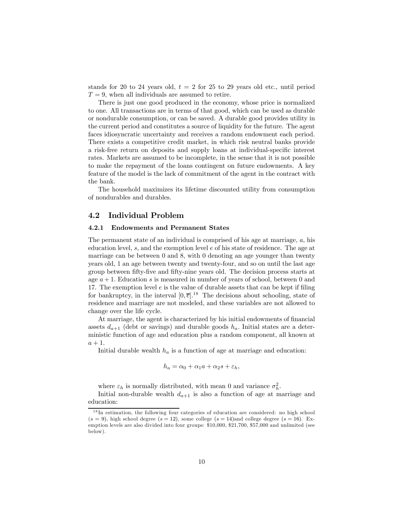stands for 20 to 24 years old,  $t = 2$  for 25 to 29 years old etc., until period  $T = 9$ , when all individuals are assumed to retire.

There is just one good produced in the economy, whose price is normalized to one. All transactions are in terms of that good, which can be used as durable or nondurable consumption, or can be saved. A durable good provides utility in the current period and constitutes a source of liquidity for the future. The agent faces idiosyncratic uncertainty and receives a random endowment each period. There exists a competitive credit market, in which risk neutral banks provide a risk-free return on deposits and supply loans at individual-specific interest rates. Markets are assumed to be incomplete, in the sense that it is not possible to make the repayment of the loans contingent on future endowments. A key feature of the model is the lack of commitment of the agent in the contract with the bank.

The household maximizes its lifetime discounted utility from consumption of nondurables and durables.

#### 4.2 Individual Problem

#### 4.2.1 Endowments and Permanent States

The permanent state of an individual is comprised of his age at marriage, a, his education level, s, and the exemption level e of his state of residence. The age at marriage can be between 0 and 8, with 0 denoting an age younger than twenty years old, 1 an age between twenty and twenty-four, and so on until the last age group between fifty-five and fifty-nine years old. The decision process starts at age  $a + 1$ . Education s is measured in number of years of school, between 0 and 17. The exemption level  $e$  is the value of durable assets that can be kept if filing for bankruptcy, in the interval  $[0, \overline{e}]$ .<sup>18</sup> The decisions about schooling, state of residence and marriage are not modeled, and these variables are not allowed to change over the life cycle.

At marriage, the agent is characterized by his initial endowments of financial assets  $d_{a+1}$  (debt or savings) and durable goods  $h_a$ . Initial states are a deterministic function of age and education plus a random component, all known at  $a + 1$ .

Initial durable wealth  $h_a$  is a function of age at marriage and education:

$$
h_a = \alpha_0 + \alpha_1 a + \alpha_2 s + \varepsilon_h,
$$

where  $\varepsilon_h$  is normally distributed, with mean 0 and variance  $\sigma_h^2$ .

Initial non-durable wealth  $d_{a+1}$  is also a function of age at marriage and education:

 $18$ In estimation, the following four categories of education are considered: no high school  $(s = 9)$ , high school degree  $(s = 12)$ , some college  $(s = 14)$ and college degree  $(s = 16)$ . Exemption levels are also divided into four groups: \$10,000, \$21,700, \$57,000 and unlimited (see below).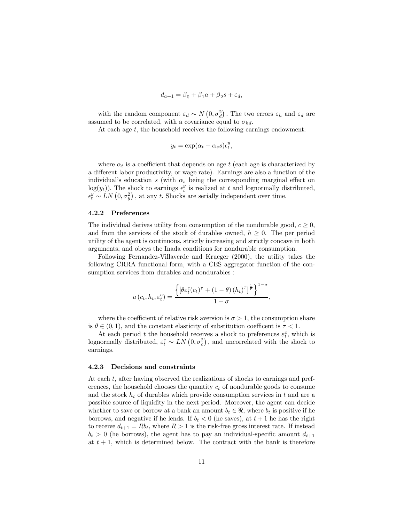$$
d_{a+1} = \beta_0 + \beta_1 a + \beta_2 s + \varepsilon_d,
$$

with the random component  $\varepsilon_d \sim N(0, \sigma_d^2)$ . The two errors  $\varepsilon_h$  and  $\varepsilon_d$  are assumed to be correlated, with a covariance equal to  $\sigma_{hd}$ .

At each age  $t$ , the household receives the following earnings endowment:

$$
y_t = \exp(\alpha_t + \alpha_s s) \epsilon_t^y,
$$

where  $\alpha_t$  is a coefficient that depends on age t (each age is characterized by a different labor productivity, or wage rate). Earnings are also a function of the individual's education s (with  $\alpha_s$  being the corresponding marginal effect on  $log(y_t)$ ). The shock to earnings  $\epsilon_t^y$  is realized at t and lognormally distributed,  $\epsilon_t^y \sim \hat{LN}(0, \sigma_y^2)$ , at any t. Shocks are serially independent over time.

#### 4.2.2 Preferences

The individual derives utility from consumption of the nondurable good,  $c \geq 0$ , and from the services of the stock of durables owned,  $h \geq 0$ . The per period utility of the agent is continuous, strictly increasing and strictly concave in both arguments, and obeys the Inada conditions for nondurable consumption.

Following Fernandez-Villaverde and Krueger (2000), the utility takes the following CRRA functional form, with a CES aggregator function of the consumption services from durables and nondurables :

$$
u\left(c_t, h_t, \varepsilon_t^c\right) = \frac{\left\{\left[\theta \varepsilon_t^c(c_t)^\tau + \left(1-\theta\right) \left(h_t\right)^\tau\right]^\frac{1}{\tau}\right\}^{1-\sigma}}{1-\sigma},
$$

where the coefficient of relative risk aversion is  $\sigma > 1$ , the consumption share is  $\theta \in (0, 1)$ , and the constant elasticity of substitution coefficent is  $\tau < 1$ .

At each period t the household receives a shock to preferences  $\varepsilon_t^c$ , which is lognormally distributed,  $\varepsilon_t^c \sim LN(0, \sigma_c^2)$ , and uncorrelated with the shock to earnings.

### 4.2.3 Decisions and constraints

At each t, after having observed the realizations of shocks to earnings and preferences, the household chooses the quantity  $c_t$  of nondurable goods to consume and the stock  $h_t$  of durables which provide consumption services in t and are a possible source of liquidity in the next period. Moreover, the agent can decide whether to save or borrow at a bank an amount  $b_t \in \mathcal{R}$ , where  $b_t$  is positive if he borrows, and negative if he lends. If  $b_t < 0$  (he saves), at  $t + 1$  he has the right to receive  $d_{t+1} = Rb_t$ , where  $R > 1$  is the risk-free gross interest rate. If instead  $b_t > 0$  (he borrows), the agent has to pay an individual-specific amount  $d_{t+1}$ at  $t + 1$ , which is determined below. The contract with the bank is therefore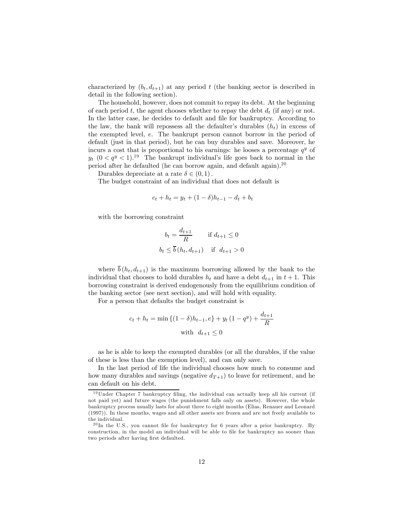characterized by  $(b_t, d_{t+1})$  at any period t (the banking sector is described in detail in the following section).

The household, however, does not commit to repay its debt. At the beginning of each period t, the agent chooses whether to repay the debt  $d_t$  (if any) or not. In the latter case, he decides to default and file for bankruptcy. According to the law, the bank will repossess all the defaulter's durables  $(h_t)$  in excess of the exempted level, e. The bankrupt person cannot borrow in the period of default (just in that period), but he can buy durables and save. Moreover, he incurs a cost that is proportional to his earnings: he looses a percentage  $q<sup>y</sup>$  of  $y_t$   $(0 < q^y < 1).$ <sup>19</sup> The bankrupt individual's life goes back to normal in the period after he defaulted (he can borrow again, and default again).<sup>20</sup>

Durables depreciate at a rate  $\delta \in (0,1)$ .

The budget constraint of an individual that does not default is

$$
c_t + h_t = y_t + (1 - \delta)h_{t-1} - d_t + b_t
$$

with the borrowing constraint

$$
b_t = \frac{d_{t+1}}{R} \quad \text{if } d_{t+1} \le 0
$$
  

$$
b_t \le \overline{b}(h_t, d_{t+1}) \quad \text{if } d_{t+1} > 0
$$

where  $\bar{b}$  ( $h_t$ ,  $d_{t+1}$ ) is the maximum borrowing allowed by the bank to the individual that chooses to hold durables  $h_t$  and have a debt  $d_{t+1}$  in  $t+1$ . This borrowing constraint is derived endogenously from the equilibrium condition of the banking sector (see next section), and will hold with equality.

For a person that defaults the budget constraint is

$$
c_t + h_t = \min\left\{(1-\delta)h_{t-1}, e\right\} + y_t(1-q^y) + \frac{d_{t+1}}{R}
$$
  
with  $d_{t+1} \le 0$ 

as he is able to keep the exempted durables (or all the durables, if the value of these is less than the exemption level), and can only save.

In the last period of life the individual chooses how much to consume and how many durables and savings (negative  $d_{T+1}$ ) to leave for retirement, and he can default on his debt.

 $19$ Under Chapter 7 bankruptcy filing, the individual can actually keep all his current (if not paid yet) and future wages (the punishment falls only on assets). However, the whole bankruptcy process usually lasts for about three to eight months (Elias, Renauer and Leonard (1997)). In these months, wages and all other assets are frozen and are not freely available to the individual.

 $^{20}$ In the U.S., you cannot file for bankruptcy for 6 years after a prior bankruptcy. By construction, in the model an individual will be able to file for bankruptcy no sooner than two periods after having first defaulted.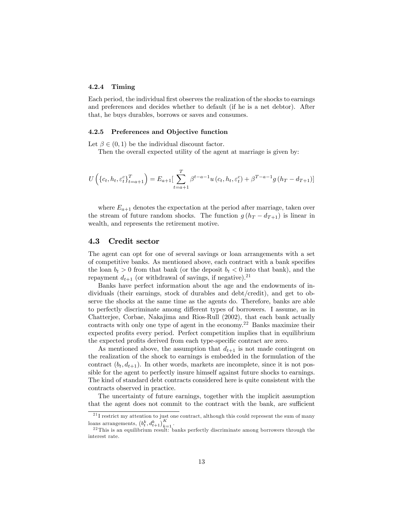#### 4.2.4 Timing

Each period, the individual first observes the realization of the shocks to earnings and preferences and decides whether to default (if he is a net debtor). After that, he buys durables, borrows or saves and consumes.

#### 4.2.5 Preferences and Objective function

Let  $\beta \in (0,1)$  be the individual discount factor.

Then the overall expected utility of the agent at marriage is given by:

$$
U\left(\{c_t, h_t, \varepsilon_t^c\}_{t=a+1}^T\right) = E_{a+1} \left[\sum_{t=a+1}^T \beta^{t-a-1} u\left(c_t, h_t, \varepsilon_t^c\right) + \beta^{T-a-1} g\left(h_T - d_{T+1}\right)\right]
$$

where  $E_{a+1}$  denotes the expectation at the period after marriage, taken over the stream of future random shocks. The function  $g(h_T - d_{T+1})$  is linear in wealth, and represents the retirement motive.

#### 4.3 Credit sector

The agent can opt for one of several savings or loan arrangements with a set of competitive banks. As mentioned above, each contract with a bank specifies the loan  $b_t > 0$  from that bank (or the deposit  $b_t < 0$  into that bank), and the repayment  $d_{t+1}$  (or withdrawal of savings, if negative).<sup>21</sup>

Banks have perfect information about the age and the endowments of individuals (their earnings, stock of durables and debt/credit), and get to observe the shocks at the same time as the agents do. Therefore, banks are able to perfectly discriminate among different types of borrowers. I assume, as in Chatterjee, Corbae, Nakajima and Rios-Rull (2002), that each bank actually contracts with only one type of agent in the economy.<sup>22</sup> Banks maximize their expected profits every period. Perfect competition implies that in equilibrium the expected profits derived from each type-specific contract are zero.

As mentioned above, the assumption that  $d_{t+1}$  is not made contingent on the realization of the shock to earnings is embedded in the formulation of the contract  $(b_t, d_{t+1})$ . In other words, markets are incomplete, since it is not possible for the agent to perfectly insure himself against future shocks to earnings. The kind of standard debt contracts considered here is quite consistent with the contracts observed in practice.

The uncertainty of future earnings, together with the implicit assumption that the agent does not commit to the contract with the bank, are sufficient

 $^{21}$ I restrict my attention to just one contract, although this could represent the sum of many loans arrangements,  $(b_t^k, d_{t+1}^k)_{k=1}^K$ 

 $^{22}$ This is an equilibrium result: banks perfectly discriminate among borrowers through the interest rate.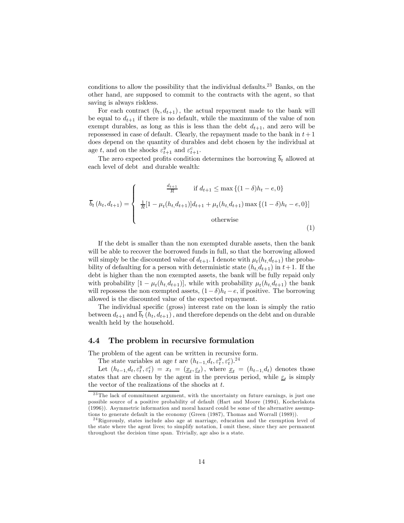conditions to allow the possibility that the individual defaults.<sup>23</sup> Banks, on the other hand, are supposed to commit to the contracts with the agent, so that saving is always riskless.

For each contract  $(b_t, d_{t+1})$ , the actual repayment made to the bank will be equal to  $d_{t+1}$  if there is no default, while the maximum of the value of non exempt durables, as long as this is less than the debt  $d_{t+1}$ , and zero will be repossessed in case of default. Clearly, the repayment made to the bank in  $t+1$ does depend on the quantity of durables and debt chosen by the individual at age t, and on the shocks  $\varepsilon_{t+1}^y$  and  $\varepsilon_{t+1}^c$ .

The zero expected profits condition determines the borrowing  $\overline{b}_t$  allowed at each level of debt and durable wealth:

$$
\overline{b}_{t}(h_{t}, d_{t+1}) = \begin{cases}\n\frac{d_{t+1}}{R} & \text{if } d_{t+1} \leq \max\left\{(1-\delta)h_{t}-e, 0\right\} \\
\frac{1}{R}[1-\mu_{t}(h_{t}, d_{t+1})]d_{t+1} + \mu_{t}(h_{t}, d_{t+1})\max\left\{(1-\delta)h_{t}-e, 0\right\}]\n\end{cases}
$$
\notherwise\n
$$
(1)
$$

If the debt is smaller than the non exempted durable assets, then the bank will be able to recover the borrowed funds in full, so that the borrowing allowed will simply be the discounted value of  $d_{t+1}$ . I denote with  $\mu_t(h_t, d_{t+1})$  the probability of defaulting for a person with deterministic state  $(h_t, d_{t+1})$  in  $t+1$ . If the debt is higher than the non exempted assets, the bank will be fully repaid only with probability  $[1 - \mu_t(h_t, d_{t+1})]$ , while with probability  $\mu_t(h_t, d_{t+1})$  the bank will repossess the non exempted assets,  $(1-\delta)h_t - e$ , if positive. The borrowing allowed is the discounted value of the expected repayment.

The individual specific (gross) interest rate on the loan is simply the ratio between  $d_{t+1}$  and  $\overline{b}_t$   $(h_t, d_{t+1})$ , and therefore depends on the debt and on durable wealth held by the household.

### 4.4 The problem in recursive formulation

The problem of the agent can be written in recursive form.

The state variables at age t are  $(h_{t-1}, d_t, \varepsilon_t^y, \varepsilon_t^c)$ .<sup>24</sup>

Let  $(h_{t-1}, d_t, \varepsilon_t^y, \varepsilon_t^c) = x_t = (\underline{x}_t, \underline{\varepsilon}_t)$ , where  $\underline{x}_t = (h_{t-1}, d_t)$  denotes those states that are chosen by the agent in the previous period, while  $\varepsilon_t$  is simply the vector of the realizations of the shocks at  $t$ .

<sup>&</sup>lt;sup>23</sup>The lack of commitment argument, with the uncertainty on future earnings, is just one possible source of a positive probability of default (Hart and Moore (1994), Kocherlakota (1996)). Asymmetric information and moral hazard could be some of the alternative assumptions to generate default in the economy (Green (1987), Thomas and Worrall (1989)).

<sup>2 4</sup>Rigorously, states include also age at marriage, education and the exemption level of the state where the agent lives; to simplify notation, I omit these, since they are permanent throughout the decision time span. Trivially, age also is a state.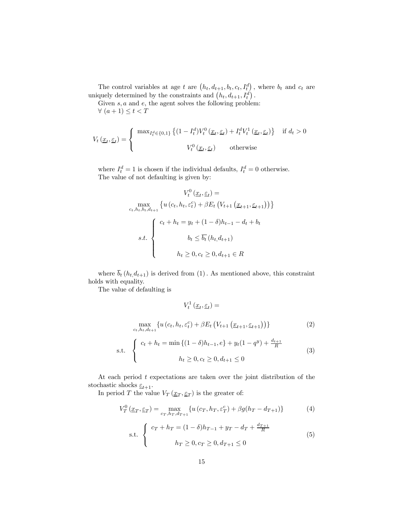The control variables at age t are  $(h_t, d_{t+1}, b_t, c_t, I_t^d)$ , where  $b_t$  and  $c_t$  are uniquely determined by the constraints and  $(h_t, d_{t+1}, I_t^d)$ .

Given  $s, a$  and  $e$ , the agent solves the following problem:  $\forall$   $(a+1) \leq t < T$ 

$$
V_t\left(\underline{x}_t, \underline{\varepsilon}_t\right) = \begin{cases} \max_{I_t^d \in \{0, 1\}} \left\{ (1 - I_t^d) V_t^0\left(\underline{x}_t, \underline{\varepsilon}_t\right) + I_t^d V_t^1\left(\underline{x}_t, \underline{\varepsilon}_t\right) \right\} & \text{if } d_t > 0 \\ V_t^0\left(\underline{x}_t, \underline{\varepsilon}_t\right) & \text{otherwise} \end{cases}
$$

where  $I_t^d = 1$  is chosen if the individual defaults,  $I_t^d = 0$  otherwise. The value of not defaulting is given by:

$$
V_t^0(\underline{x}_t, \underline{\varepsilon}_t) =
$$
  
\n
$$
\max_{c_t, h_t, b_t, d_{t+1}} \{ u(c_t, h_t, \varepsilon_t^c) + \beta E_t \left( V_{t+1} \left( \underline{x}_{t+1}, \underline{\varepsilon}_{t+1} \right) \right) \}
$$
  
\n
$$
s.t. \begin{cases} c_t + h_t = y_t + (1 - \delta)h_{t-1} - d_t + b_t \\ b_t \le \overline{b_t} \left( h_t, d_{t+1} \right) \\ h_t \ge 0, c_t \ge 0, d_{t+1} \in R \end{cases}
$$

where  $\overline{b}_t(h_t, d_{t+1})$  is derived from (1). As mentioned above, this constraint holds with equality.

 $V_t^1(\underline{x}_t, \underline{\varepsilon}_t) =$ 

The value of defaulting is

$$
\max_{c_t, h_t, d_{t+1}} \{ u(c_t, h_t, \varepsilon_t^c) + \beta E_t \left( V_{t+1} \left( \underline{x}_{t+1}, \underline{\varepsilon}_{t+1} \right) \right) \} \tag{2}
$$
\n
$$
\text{s.t.} \quad \begin{cases} \nc_t + h_t = \min \left\{ (1 - \delta) h_{t-1}, e \right\} + y_t (1 - q^y) + \frac{d_{t+1}}{R} \\ \nh_t \ge 0, c_t \ge 0, d_{t+1} \le 0 \end{cases} \tag{3}
$$

At each period  $t$  expectations are taken over the joint distribution of the stochastic shocks  $\underline{\varepsilon}_{t+1}$ .

In period T the value  $V_T(\underline{x}_T, \underline{\varepsilon}_T)$  is the greater of:

$$
V_T^0(\underline{x}_T, \underline{\varepsilon}_T) = \max_{c_T, h_T, d_{T+1}} \{ u(c_T, h_T, \varepsilon_T^c) + \beta g(h_T - d_{T+1}) \}
$$
(4)

s.t. 
$$
\begin{cases} c_T + h_T = (1 - \delta)h_{T-1} + y_T - d_T + \frac{d_{T+1}}{R} \\ h_T \ge 0, c_T \ge 0, d_{T+1} \le 0 \end{cases}
$$
 (5)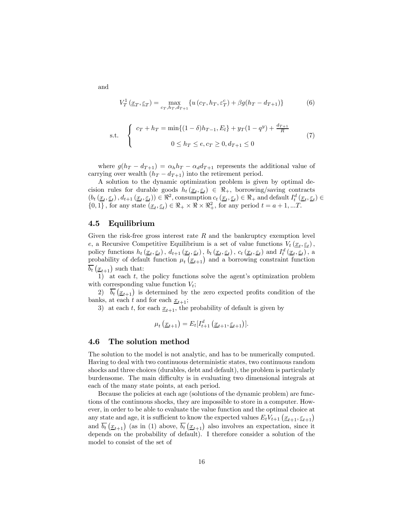$$
V_T^1(\underline{x}_T, \underline{\varepsilon}_T) = \max_{c_T, h_T, d_{T+1}} \{ u(c_T, h_T, \varepsilon_T^c) + \beta g(h_T - d_{T+1}) \}
$$
(6)

s.t. 
$$
\begin{cases} c_T + h_T = \min\{(1-\delta)h_{T-1}, E_l\} + y_T(1-q^y) + \frac{d_{T+1}}{R} \\ 0 \le h_T \le e, c_T \ge 0, d_{T+1} \le 0 \end{cases}
$$
(7)

where  $g(h_T - d_{T+1}) = \alpha_h h_T - \alpha_d d_{T+1}$  represents the additional value of carrying over wealth  $(h_T - d_{T+1})$  into the retirement period.

A solution to the dynamic optimization problem is given by optimal decision rules for durable goods  $h_t(x_t, \underline{\varepsilon}_t) \in \Re_+$ , borrowing/saving contracts  $(b_t(\underline{x}_t, \underline{\varepsilon}_t), d_{t+1}(\underline{x}_t, \underline{\varepsilon}_t)) \in \Re^2$ , consumption  $c_t(\underline{x}_t, \underline{\varepsilon}_t) \in \Re_+$  and default  $I_t^d(\underline{x}_t, \underline{\varepsilon}_t) \in$  $\{0,1\}$ , for any state  $(\underline{x}_t, \underline{\varepsilon}_t) \in \Re_+ \times \Re \times \Re_+^2$ , for any period  $t = a + 1, ...T$ .

### 4.5 Equilibrium

Given the risk-free gross interest rate  $R$  and the bankruptcy exemption level e, a Recursive Competitive Equilibrium is a set of value functions  $V_t(\underline{x}_t, \underline{\varepsilon}_t)$ , policy functions  $h_t(\underline{x}_t, \underline{\varepsilon}_t)$ ,  $d_{t+1}(\underline{x}_t, \underline{\varepsilon}_t)$ ,  $b_t(\underline{x}_t, \underline{\varepsilon}_t)$ ,  $c_t(\underline{x}_t, \underline{\varepsilon}_t)$  and  $I_t^d(\underline{x}_t, \underline{\varepsilon}_t)$ , a probability of default function  $\mu_t(\underline{x}_{t+1})$  and a borrowing constraint function  $\overline{b_t}(\underline{x}_{t+1})$  such that:

1) at each  $t$ , the policy functions solve the agent's optimization problem with corresponding value function  $V_t$ ;

2)  $\overline{b_t}(\underline{x}_{t+1})$  is determined by the zero expected profits condition of the banks, at each t and for each  $x_{t+1}$ ;

3) at each t, for each  $\underline{x}_{t+1}$ , the probability of default is given by

$$
\mu_t\left(\underline{x}_{t+1}\right) = E_t[I_{t+1}^d\left(\underline{x}_{t+1}, \underline{\varepsilon}_{t+1}\right)].
$$

#### 4.6 The solution method

The solution to the model is not analytic, and has to be numerically computed. Having to deal with two continuous deterministic states, two continuous random shocks and three choices (durables, debt and default), the problem is particularly burdensome. The main difficulty is in evaluating two dimensional integrals at each of the many state points, at each period.

Because the policies at each age (solutions of the dynamic problem) are functions of the continuous shocks, they are impossible to store in a computer. However, in order to be able to evaluate the value function and the optimal choice at any state and age, it is sufficient to know the expected values  $E_t V_{t+1} \left( \underline{x}_{t+1}, \underline{\varepsilon}_{t+1} \right)$ and  $\overline{b_t}(\underline{x}_{t+1})$  (as in (1) above,  $\overline{b_t}(\underline{x}_{t+1})$  also involves an expectation, since it depends on the probability of default). I therefore consider a solution of the model to consist of the set of

and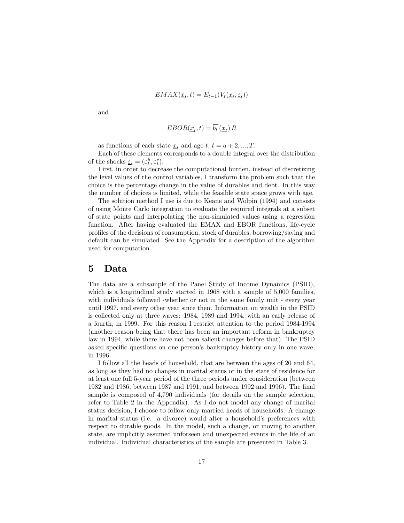$$
EMAX(\underline{x}_t, t) = E_{t-1}(V_t(\underline{x}_t, \underline{\varepsilon}_t))
$$

and

$$
EBOR(\underline{x}_t, t) = \overline{b_t}(\underline{x}_t) R
$$

as functions of each state  $x_t$  and age  $t, t = a + 2, ..., T$ .

Each of these elements corresponds to a double integral over the distribution of the shocks  $\underline{\varepsilon}_t = (\varepsilon_t^y, \varepsilon_t^c)$ .

First, in order to decrease the computational burden, instead of discretizing the level values of the control variables, I transform the problem such that the choice is the percentage change in the value of durables and debt. In this way the number of choices is limited, while the feasible state space grows with age.

The solution method I use is due to Keane and Wolpin (1994) and consists of using Monte Carlo integration to evaluate the required integrals at a subset of state points and interpolating the non-simulated values using a regression function. After having evaluated the EMAX and EBOR functions, life-cycle profiles of the decisions of consumption, stock of durables, borrowing/saving and default can be simulated. See the Appendix for a description of the algorithm used for computation.

### 5 Data

The data are a subsample of the Panel Study of Income Dynamics (PSID), which is a longitudinal study started in 1968 with a sample of 5,000 families, with individuals followed -whether or not in the same family unit - every year until 1997, and every other year since then. Information on wealth in the PSID is collected only at three waves: 1984, 1989 and 1994, with an early release of a fourth, in 1999. For this reason I restrict attention to the period 1984-1994 (another reason being that there has been an important reform in bankruptcy law in 1994, while there have not been salient changes before that). The PSID asked specific questions on one person's bankruptcy history only in one wave, in 1996.

I follow all the heads of household, that are between the ages of 20 and 64, as long as they had no changes in marital status or in the state of residence for at least one full 5-year period of the three periods under consideration (between 1982 and 1986, between 1987 and 1991, and between 1992 and 1996). The final sample is composed of 4,790 individuals (for details on the sample selection, refer to Table 2 in the Appendix). As I do not model any change of marital status decision, I choose to follow only married heads of households. A change in marital status (i.e. a divorce) would alter a household's preferences with respect to durable goods. In the model, such a change, or moving to another state, are implicitly assumed unforseen and unexpected events in the life of an individual. Individual characteristics of the sample are presented in Table 3.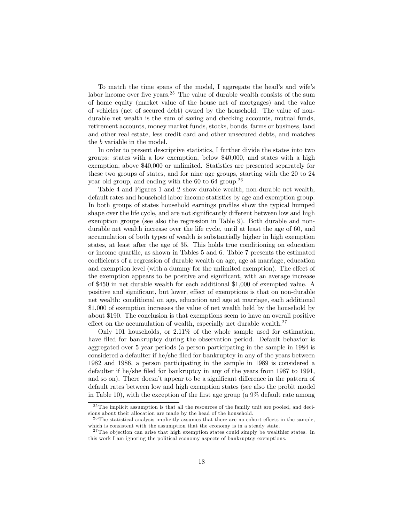To match the time spans of the model, I aggregate the head's and wife's labor income over five years.25 The value of durable wealth consists of the sum of home equity (market value of the house net of mortgages) and the value of vehicles (net of secured debt) owned by the household. The value of nondurable net wealth is the sum of saving and checking accounts, mutual funds, retirement accounts, money market funds, stocks, bonds, farms or business, land and other real estate, less credit card and other unsecured debts, and matches the b variable in the model.

In order to present descriptive statistics, I further divide the states into two groups: states with a low exemption, below \$40,000, and states with a high exemption, above \$40,000 or unlimited. Statistics are presented separately for these two groups of states, and for nine age groups, starting with the 20 to 24 year old group, and ending with the  $60$  to  $64$  group.<sup>26</sup>

Table 4 and Figures 1 and 2 show durable wealth, non-durable net wealth, default rates and household labor income statistics by age and exemption group. In both groups of states household earnings profiles show the typical humped shape over the life cycle, and are not significantly different between low and high exemption groups (see also the regression in Table 9). Both durable and nondurable net wealth increase over the life cycle, until at least the age of 60, and accumulation of both types of wealth is substantially higher in high exemption states, at least after the age of 35. This holds true conditioning on education or income quartile, as shown in Tables 5 and 6. Table 7 presents the estimated coefficients of a regression of durable wealth on age, age at marriage, education and exemption level (with a dummy for the unlimited exemption). The effect of the exemption appears to be positive and significant, with an average increase of \$450 in net durable wealth for each additional \$1,000 of exempted value. A positive and significant, but lower, effect of exemptions is that on non-durable net wealth: conditional on age, education and age at marriage, each additional \$1,000 of exemption increases the value of net wealth held by the household by about \$190. The conclusion is that exemptions seem to have an overall positive effect on the accumulation of wealth, especially net durable wealth. $27$ 

Only 101 households, or 2.11% of the whole sample used for estimation, have filed for bankruptcy during the observation period. Default behavior is aggregated over 5 year periods (a person participating in the sample in 1984 is considered a defaulter if he/she filed for bankruptcy in any of the years between 1982 and 1986, a person participating in the sample in 1989 is considered a defaulter if he/she filed for bankruptcy in any of the years from 1987 to 1991, and so on). There doesn't appear to be a significant difference in the pattern of default rates between low and high exemption states (see also the probit model in Table 10), with the exception of the first age group (a 9% default rate among

<sup>&</sup>lt;sup>25</sup>The implicit assumption is that all the resources of the family unit are pooled, and decisions about their allocation are made by the head of the household.

 $2<sup>26</sup>$  The statistical analysis implicitly assumes that there are no cohort effects in the sample, which is consistent with the assumption that the economy is in a steady state.

 $27$ The objection can arise that high exemption states could simply be wealthier states. In this work I am ignoring the political economy aspects of bankruptcy exemptions.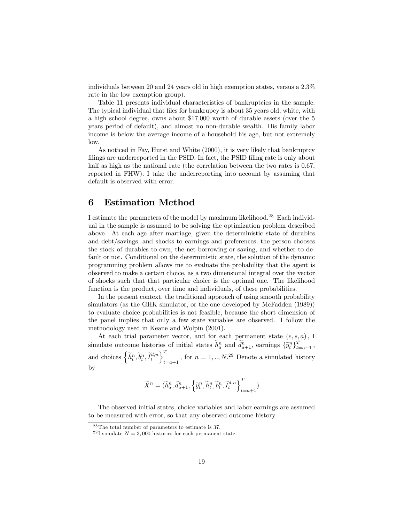individuals between 20 and 24 years old in high exemption states, versus a 2.3% rate in the low exemption group).

Table 11 presents individual characteristics of bankruptcies in the sample. The typical individual that files for bankrupcy is about 35 years old, white, with a high school degree, owns about \$17,000 worth of durable assets (over the 5 years period of default), and almost no non-durable wealth. His family labor income is below the average income of a household his age, but not extremely low.

As noticed in Fay, Hurst and White (2000), it is very likely that bankruptcy filings are underreported in the PSID. In fact, the PSID filing rate is only about half as high as the national rate (the correlation between the two rates is  $0.67$ , reported in FHW). I take the underreporting into account by assuming that default is observed with error.

# 6 Estimation Method

I estimate the parameters of the model by maximum likelihood.28 Each individual in the sample is assumed to be solving the optimization problem described above. At each age after marriage, given the deterministic state of durables and debt/savings, and shocks to earnings and preferences, the person chooses the stock of durables to own, the net borrowing or saving, and whether to default or not. Conditional on the deterministic state, the solution of the dynamic programming problem allows me to evaluate the probability that the agent is observed to make a certain choice, as a two dimensional integral over the vector of shocks such that that particular choice is the optimal one. The likelihood function is the product, over time and individuals, of these probabilities.

In the present context, the traditional approach of using smooth probability simulators (as the GHK simulator, or the one developed by McFadden  $(1989)$ ) to evaluate choice probabilities is not feasible, because the short dimension of the panel implies that only a few state variables are observed. I follow the methodology used in Keane and Wolpin (2001).

At each trial parameter vector, and for each permanent state  $(e, s, a)$ , I simulate outcome histories of initial states  $\widetilde{h}_a^n$  and  $\widetilde{d}_{a+1}^n$ , earnings  $\{\widehat{y}_t^n\}_{t=a+1}^T$ , and choices  $\left\{\widetilde{h}_t^n, \widetilde{b}_t^n, \widetilde{I}_t^{d,n}\right\}_{t=a+1}^T$ , for  $n = 1, ..., N$ .<sup>29</sup> Denote a simulated history by

$$
\widetilde{X}^n = (\widetilde{h}^n_a, \widetilde{d}^n_{a+1}, \left\{\widetilde{y}^n_t, \widetilde{h}^n_t, \widetilde{b}^n_t, \widetilde{I}^{d,n}_t\right\}_{t=a+1}^T)
$$

The observed initial states, choice variables and labor earnings are assumed to be measured with error, so that any observed outcome history

 $28$ The total number of parameters to estimate is 37.

<sup>&</sup>lt;sup>29</sup>I simulate  $N = 3,000$  histories for each permanent state.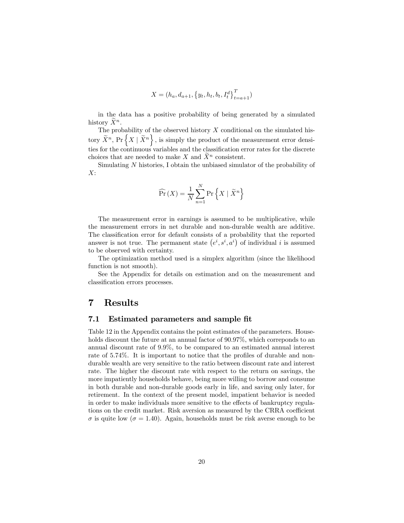$$
X = (h_a, d_{a+1}, \{y_t, h_t, b_t, I_t^d\}_{t=a+1}^T)
$$

in the data has a positive probability of being generated by a simulated history  $X^n$ .

The probability of the observed history  $X$  conditional on the simulated history  $\widetilde{X}^n$ , Pr $\left\{X \mid \widetilde{X}^n\right\}$ , is simply the product of the measurement error densities for the continuous variables and the classification error rates for the discrete choices that are needed to make X and  $\overline{X}^n$  consistent.

Simulating N histories, I obtain the unbiased simulator of the probability of  $X$ :

$$
\widehat{\Pr}(X) = \frac{1}{N} \sum_{n=1}^{N} \Pr\left\{ X \mid \widetilde{X}^{n} \right\}
$$

The measurement error in earnings is assumed to be multiplicative, while the measurement errors in net durable and non-durable wealth are additive. The classification error for default consists of a probability that the reported answer is not true. The permanent state  $(e^i, s^i, a^i)$  of individual i is assumed to be observed with certainty.

The optimization method used is a simplex algorithm (since the likelihood function is not smooth).

See the Appendix for details on estimation and on the measurement and classification errors processes.

### 7 Results

### 7.1 Estimated parameters and sample fit

Table 12 in the Appendix contains the point estimates of the parameters. Households discount the future at an annual factor of  $90.97\%$ , which corresponds to an annual discount rate of 9.9%, to be compared to an estimated annual interest rate of 5.74%. It is important to notice that the profiles of durable and nondurable wealth are very sensitive to the ratio between discount rate and interest rate. The higher the discount rate with respect to the return on savings, the more impatiently households behave, being more willing to borrow and consume in both durable and non-durable goods early in life, and saving only later, for retirement. In the context of the present model, impatient behavior is needed in order to make individuals more sensitive to the effects of bankruptcy regulations on the credit market. Risk aversion as measured by the CRRA coefficient  $\sigma$  is quite low ( $\sigma = 1.40$ ). Again, households must be risk averse enough to be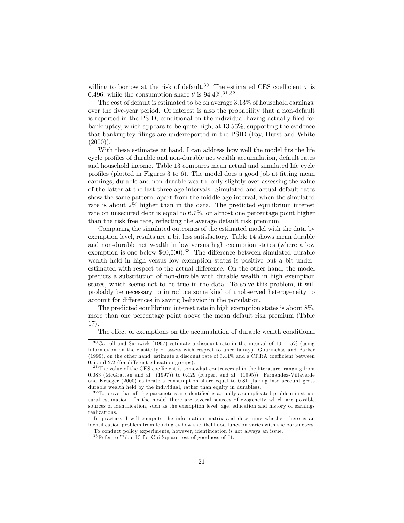willing to borrow at the risk of default.<sup>30</sup> The estimated CES coefficient  $\tau$  is 0.496, while the consumption share  $\theta$  is 94.4%.<sup>31,32</sup>

The cost of default is estimated to be on average 3.13% of household earnings, over the five-year period. Of interest is also the probability that a non-default is reported in the PSID, conditional on the individual having actually filed for bankruptcy, which appears to be quite high, at 13.56%, supporting the evidence that bankruptcy filings are underreported in the PSID (Fay, Hurst and White  $(2000)$ ).

With these estimates at hand, I can address how well the model fits the life cycle profiles of durable and non-durable net wealth accumulation, default rates and household income. Table 13 compares mean actual and simulated life cycle profiles (plotted in Figures 3 to 6). The model does a good job at fitting mean earnings, durable and non-durable wealth, only slightly over-assessing the value of the latter at the last three age intervals. Simulated and actual default rates show the same pattern, apart from the middle age interval, when the simulated rate is about 2% higher than in the data. The predicted equilibrium interest rate on unsecured debt is equal to 6.7%, or almost one percentage point higher than the risk free rate, reflecting the average default risk premium.

Comparing the simulated outcomes of the estimated model with the data by exemption level, results are a bit less satisfactory. Table 14 shows mean durable and non-durable net wealth in low versus high exemption states (where a low exemption is one below  $$40,000$ .<sup>33</sup> The difference between simulated durable wealth held in high versus low exemption states is positive but a bit underestimated with respect to the actual difference. On the other hand, the model predicts a substitution of non-durable with durable wealth in high exemption states, which seems not to be true in the data. To solve this problem, it will probably be necessary to introduce some kind of unobserved heterogeneity to account for differences in saving behavior in the population.

The predicted equilibrium interest rate in high exemption states is about 8%, more than one percentage point above the mean default risk premium (Table 17).

The effect of exemptions on the accumulation of durable wealth conditional

 $30$ Carroll and Samwick (1997) estimate a discount rate in the interval of 10 - 15% (using information on the elasticity of assets with respect to uncertainty). Gourinchas and Parker (1999), on the other hand, estimate a discount rate of 3.44% and a CRRA coefficient between 0.5 and 2.2 (for different education groups).

<sup>&</sup>lt;sup>31</sup>The value of the CES coefficient is somewhat controversial in the literature, ranging from 0.083 (McGrattan and al. (1997)) to 0.429 (Rupert and al. (1995)). Fernandez-Villaverde and Krueger (2000) calibrate a consumption share equal to 0.81 (taking into account gross durable wealth held by the individual, rather than equity in durables).

 $32$ To prove that all the parameters are identified is actually a complicated problem in structural estimation. In the model there are several sources of exogeneity which are possible sources of identification, such as the exemption level, age, education and history of earnings realizations.

In practice, I will compute the information matrix and determine whether there is an identification problem from looking at how the likelihood function varies with the parameters.

To conduct policy experiments, however, identification is not always an issue.

 $^{33}\mathrm{Refer}$  to Table 15 for Chi Square test of goodness of fit.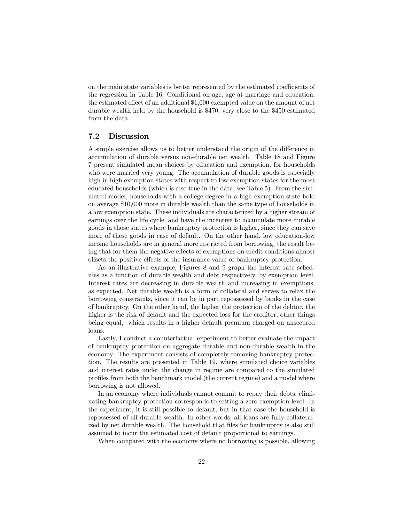on the main state variables is better represented by the estimated coefficients of the regression in Table 16. Conditional on age, age at marriage and education, the estimated effect of an additional \$1,000 exempted value on the amount of net durable wealth held by the household is \$470, very close to the \$450 estimated from the data.

### 7.2 Discussion

A simple exercise allows us to better understand the origin of the difference in accumulation of durable versus non-durable net wealth. Table 18 and Figure 7 present simulated mean choices by education and exemption, for households who were married very young. The accumulation of durable goods is especially high in high exemption states with respect to low exemption states for the most educated households (which is also true in the data, see Table 5). From the simulated model, households with a college degree in a high exemption state hold on average \$10,000 more in durable wealth than the same type of households in a low exemption state. These individuals are characterized by a higher stream of earnings over the life cycle, and have the incentive to accumulate more durable goods in those states where bankruptcy protection is higher, since they can save more of these goods in case of default. On the other hand, low education-low income households are in general more restricted from borrowing, the result being that for them the negative effects of exemptions on credit conditions almost offsets the positive effects of the insurance value of bankruptcy protection.

As an illustrative example, Figures 8 and 9 graph the interest rate schedules as a function of durable wealth and debt respectively, by exemption level. Interest rates are decreasing in durable wealth and increasing in exemptions, as expected. Net durable wealth is a form of collateral and serves to relax the borrowing constraints, since it can be in part repossessed by banks in the case of bankruptcy. On the other hand, the higher the protection of the debtor, the higher is the risk of default and the expected loss for the creditor, other things being equal, which results in a higher default premium charged on unsecured loans.

Lastly, I conduct a counterfactual experiment to better evaluate the impact of bankruptcy protection on aggregate durable and non-durable wealth in the economy. The experiment consists of completely removing bankruptcy protection. The results are presented in Table 19, where simulated choice variables and interest rates under the change in regime are compared to the simulated profiles from both the benchmark model (the current regime) and a model where borrowing is not allowed.

In an economy where individuals cannot commit to repay their debts, eliminating bankruptcy protection corresponds to setting a zero exemption level. In the experiment, it is still possible to default, but in that case the household is repossessed of all durable wealth. In other words, all loans are fully collateralized by net durable wealth. The household that files for bankruptcy is also still assumed to incur the estimated cost of default proportional to earnings.

When compared with the economy where no borrowing is possible, allowing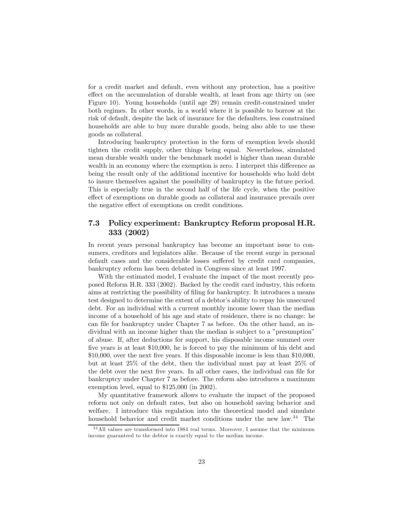for a credit market and default, even without any protection, has a positive effect on the accumulation of durable wealth, at least from age thirty on (see Figure 10). Young households (until age 29) remain credit-constrained under both regimes. In other words, in a world where it is possible to borrow at the risk of default, despite the lack of insurance for the defaulters, less constrained households are able to buy more durable goods, being also able to use these goods as collateral.

Introducing bankruptcy protection in the form of exemption levels should tighten the credit supply, other things being equal. Nevertheless, simulated mean durable wealth under the benchmark model is higher than mean durable wealth in an economy where the exemption is zero. I interpret this difference as being the result only of the additional incentive for households who hold debt to insure themselves against the possibility of bankruptcy in the future period. This is especially true in the second half of the life cycle, when the positive effect of exemptions on durable goods as collateral and insurance prevails over the negative effect of exemptions on credit conditions.

### 7.3 Policy experiment: Bankruptcy Reform proposal H.R. 333 (2002)

In recent years personal bankruptcy has become an important issue to consumers, creditors and legislators alike. Because of the recent surge in personal default cases and the considerable losses suffered by credit card companies, bankruptcy reform has been debated in Congress since at least 1997.

With the estimated model, I evaluate the impact of the most recently proposed Reform H.R. 333 (2002). Backed by the credit card industry, this reform aims at restricting the possibility of filing for bankruptcy. It introduces a means test designed to determine the extent of a debtor's ability to repay his unsecured debt. For an individual with a current monthly income lower than the median income of a household of his age and state of residence, there is no change: he can file for bankruptcy under Chapter 7 as before. On the other hand, an individual with an income higher than the median is subject to a "presumption" of abuse. If, after deductions for support, his disposable income summed over five years is at least \$10,000, he is forced to pay the minimum of his debt and \$10,000, over the next five years. If this disposable income is less than \$10,000, but at least 25% of the debt, then the individual must pay at least 25% of the debt over the next five years. In all other cases, the individual can file for bankruptcy under Chapter 7 as before. The reform also introduces a maximum exemption level, equal to \$125,000 (in 2002).

My quantitative framework allows to evaluate the impact of the proposed reform not only on default rates, but also on household saving behavior and welfare. I introduce this regulation into the theoretical model and simulate household behavior and credit market conditions under the new law.<sup>34</sup> The

<sup>3 4</sup>All values are transformed into 1984 real terms. Moreover, I assume that the minimum income guaranteed to the debtor is exactly equal to the median income.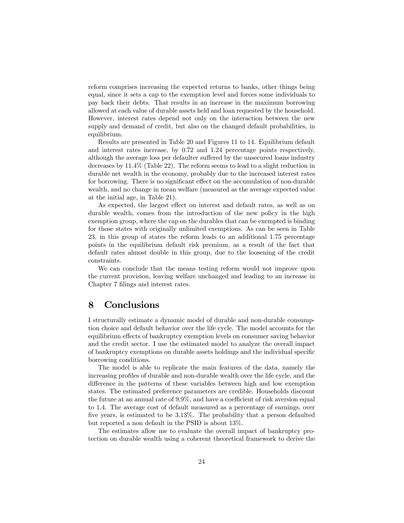reform comprises increasing the expected returns to banks, other things being equal, since it sets a cap to the exemption level and forces some individuals to pay back their debts. That results in an increase in the maximum borrowing allowed at each value of durable assets held and loan requested by the household. However, interest rates depend not only on the interaction between the new supply and demand of credit, but also on the changed default probabilities, in equilibrium.

Results are presented in Table 20 and Figures 11 to 14. Equilibrium default and interest rates increase, by 0.72 and 1.24 percentage points respectively, although the average loss per defaulter suffered by the unsecured loans industry decreases by 11.4% (Table 22). The reform seems to lead to a slight reduction in durable net wealth in the economy, probably due to the increased interest rates for borrowing. There is no significant effect on the accumulation of non-durable wealth, and no change in mean welfare (measured as the average expected value at the initial age, in Table 21).

As expected, the largest effect on interest and default rates, as well as on durable wealth, comes from the introduction of the new policy in the high exemption group, where the cap on the durables that can be exempted is binding for those states with originally unlimited exemptions. As can be seen in Table 23, in this group of states the reform leads to an additional 1.75 percentage points in the equilibrium default risk premium, as a result of the fact that default rates almost double in this group, due to the loosening of the credit constraints.

We can conclude that the means testing reform would not improve upon the current provision, leaving welfare unchanged and leading to an increase in Chapter 7 filings and interest rates.

# 8 Conclusions

I structurally estimate a dynamic model of durable and non-durable consumption choice and default behavior over the life cycle. The model accounts for the equilibrium effects of bankruptcy exemption levels on consumer saving behavior and the credit sector. I use the estimated model to analyze the overall impact of bankruptcy exemptions on durable assets holdings and the individual specific borrowing conditions.

The model is able to replicate the main features of the data, namely the increasing profiles of durable and non-durable wealth over the life cycle, and the difference in the patterns of these variables between high and low exemption states. The estimated preference parameters are credible. Households discount the future at an annual rate of 9.9%, and have a coefficient of risk aversion equal to 1.4. The average cost of default measured as a percentage of earnings, over five years, is estimated to be 3.13%. The probability that a person defaulted but reported a non default in the PSID is about 13%.

The estimates allow me to evaluate the overall impact of bankruptcy protection on durable wealth using a coherent theoretical framework to derive the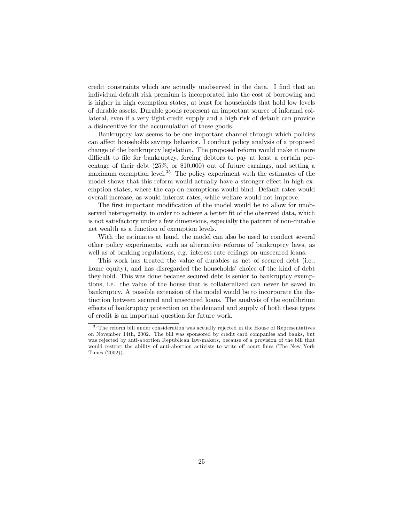credit constraints which are actually unobserved in the data. I find that an individual default risk premium is incorporated into the cost of borrowing and is higher in high exemption states, at least for households that hold low levels of durable assets. Durable goods represent an important source of informal collateral, even if a very tight credit supply and a high risk of default can provide a disincentive for the accumulation of these goods.

Bankruptcy law seems to be one important channel through which policies can affect households savings behavior. I conduct policy analysis of a proposed change of the bankruptcy legislation. The proposed reform would make it more difficult to file for bankruptcy, forcing debtors to pay at least a certain percentage of their debt (25%, or \$10,000) out of future earnings, and setting a maximum exemption level.<sup>35</sup> The policy experiment with the estimates of the model shows that this reform would actually have a stronger effect in high exemption states, where the cap on exemptions would bind. Default rates would overall increase, as would interest rates, while welfare would not improve.

The first important modification of the model would be to allow for unobserved heterogeneity, in order to achieve a better fit of the observed data, which is not satisfactory under a few dimensions, especially the pattern of non-durable net wealth as a function of exemption levels.

With the estimates at hand, the model can also be used to conduct several other policy experiments, such as alternative reforms of bankruptcy laws, as well as of banking regulations, e.g. interest rate ceilings on unsecured loans.

This work has treated the value of durables as net of secured debt (i.e., home equity), and has disregarded the households' choice of the kind of debt they hold. This was done because secured debt is senior to bankruptcy exemptions, i.e. the value of the house that is collateralized can never be saved in bankruptcy. A possible extension of the model would be to incorporate the distinction between secured and unsecured loans. The analysis of the equilibrium effects of bankruptcy protection on the demand and supply of both these types of credit is an important question for future work.

<sup>&</sup>lt;sup>35</sup>The reform bill under consideration was actually rejected in the House of Representatives on November 14th, 2002. The bill was sponsored by credit card companies and banks, but was rejected by anti-abortion Republican law-makers, because of a provision of the bill that would restrict the ability of anti-abortion activists to write off court fines (The New York Times (2002)).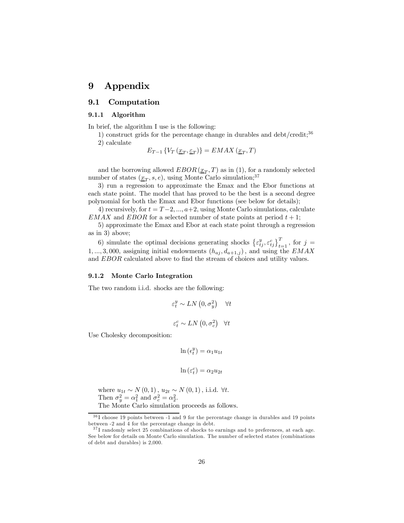# 9 Appendix

### 9.1 Computation

#### 9.1.1 Algorithm

In brief, the algorithm I use is the following:

1) construct grids for the percentage change in durables and debt/credit;<sup>36</sup> 2) calculate

$$
E_{T-1}\left\{V_T\left(\underline{x}_T,\underline{\varepsilon}_T\right)\right\} = EMAX\left(\underline{x}_T,T\right)
$$

and the borrowing allowed  $EBOR(\underline{x}_T, T)$  as in (1), for a randomly selected number of states  $(\underline{x}_T, s, e)$ , using Monte Carlo simulation;<sup>37</sup>

3) run a regression to approximate the Emax and the Ebor functions at each state point. The model that has proved to be the best is a second degree polynomial for both the Emax and Ebor functions (see below for details);

4) recursively, for  $t = T-2, ..., a+2$ , using Monte Carlo simulations, calculate  $EMAX$  and  $EBOR$  for a selected number of state points at period  $t + 1$ ;

5) approximate the Emax and Ebor at each state point through a regression as in 3) above;

6) simulate the optimal decisions generating shocks  $\left\{ \varepsilon_{tj}^{y},\varepsilon_{tj}^{c}\right\} _{t=1}^{T}$ , for  $j=$ 1, ..., 3,000, assigning initial endowments  $(h_{aj}, d_{a+1,j})$ , and using the  $EMAX$ and EBOR calculated above to find the stream of choices and utility values.

#### 9.1.2 Monte Carlo Integration

The two random i.i.d. shocks are the following:

$$
\varepsilon_t^y \sim LN\left(0, \sigma_y^2\right) \quad \forall t
$$
  

$$
\varepsilon_t^c \sim LN\left(0, \sigma_c^2\right) \quad \forall t
$$

Use Cholesky decomposition:

$$
\ln\left(\epsilon_t^y\right) = \alpha_1 u_{1t}
$$

 $\ln(\varepsilon_t^c) = \alpha_2 u_{2t}$ 

where  $u_{1t} \sim N(0, 1)$ ,  $u_{2t} \sim N(0, 1)$ , i.i.d. ∀t. Then  $\sigma_y^2 = \alpha_1^2$  and  $\sigma_c^2 = \alpha_2^2$ . The Monte Carlo simulation proceeds as follows.

 $36$ I choose 19 points between -1 and 9 for the percentage change in durables and 19 points between -2 and 4 for the percentage change in debt.

 $37$ I randomly select 25 combinations of shocks to earnings and to preferences, at each age. See below for details on Monte Carlo simulation. The number of selected states (combinations of debt and durables) is 2,000.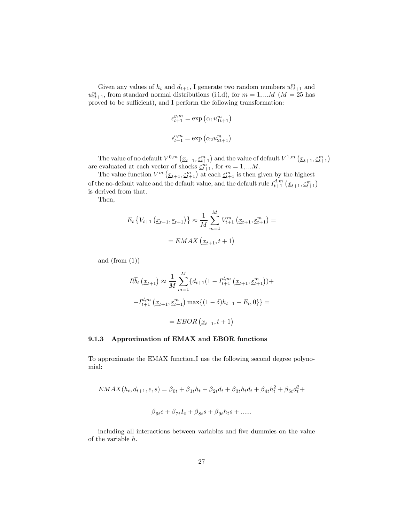Given any values of  $h_t$  and  $d_{t+1}$ , I generate two random numbers  $u_{1t+1}^m$  and  $u_{2t+1}^m$ , from standard normal distributions (i.i.d), for  $m = 1,...M$  ( $M = 25$  has proved to be sufficient), and I perform the following transformation:

$$
\epsilon_{t+1}^{y,m} = \exp\left(\alpha_1 u_{1t+1}^m\right)
$$
  

$$
\epsilon_{t+1}^{c,m} = \exp\left(\alpha_2 u_{2t+1}^m\right)
$$

The value of no default  $V^{0,m}\left(\underline{x}_{t+1}, \underline{\varepsilon}_{t+1}^m\right)$  and the value of default  $V^{1,m}\left(\underline{x}_{t+1}, \underline{\varepsilon}_{t+1}^m\right)$ are evaluated at each vector of shocks  $\underline{\varepsilon}_{t+1}^m$ , for  $m = 1, ...M$ .

The value function  $V^m(\underline{x}_{t+1}, \underline{\varepsilon}_{t+1}^m)$  at each  $\underline{\varepsilon}_{t+1}^m$  is then given by the highest of the no-default value and the default value, and the default rule  $I_{t+1}^{d,m}\left(\underline{x}_{t+1},\underline{\varepsilon_{t+1}^m}\right)$ is derived from that.

Then,

$$
E_t \{ V_{t+1} \left( \underline{x}_{t+1}, \underline{\varepsilon}_{t+1} \right) \} \approx \frac{1}{M} \sum_{m=1}^M V_{t+1}^m \left( \underline{x}_{t+1}, \underline{\varepsilon}_{t+1}^m \right) =
$$
  
= 
$$
EMAX \left( \underline{x}_{t+1}, t+1 \right)
$$

and  $(from (1))$ 

$$
R\overline{b}_t\left(\underline{x}_{t+1}\right) \approx \frac{1}{M} \sum_{m=1}^M \{d_{t+1}(1 - I_{t+1}^{d,m}\left(\underline{x}_{t+1}, \underline{\varepsilon}_{t+1}^m\right)) +
$$

$$
+ I_{t+1}^{d,m}\left(\underline{x}_{t+1}, \underline{\varepsilon}_{t+1}^m\right) \max\{(1 - \delta)h_{t+1} - E_l, 0\}\} =
$$

$$
= EBOR\left(\underline{x}_{t+1}, t+1\right)
$$

#### 9.1.3 Approximation of EMAX and EBOR functions

To approximate the EMAX function,I use the following second degree polynomial:

$$
EMAX(h_t, d_{t+1}, e, s) = \beta_{0t} + \beta_{1t}h_t + \beta_{2t}d_t + \beta_{3t}h_t d_t + \beta_{4t}h_t^2 + \beta_{5t}d_t^2 +
$$
  

$$
\beta_{6t}e + \beta_{7t}I_e + \beta_{8t}s + \beta_{9t}h_ts + \dots
$$

including all interactions between variables and five dummies on the value of the variable h.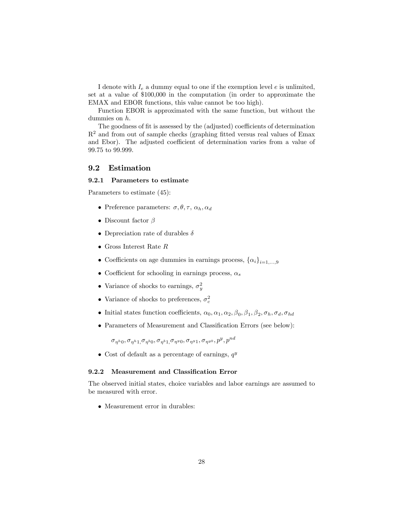I denote with  $I_e$  a dummy equal to one if the exemption level  $e$  is unlimited, set at a value of \$100,000 in the computation (in order to approximate the EMAX and EBOR functions, this value cannot be too high).

Function EBOR is approximated with the same function, but without the dummies on h.

The goodness of fit is assessed by the (adjusted) coefficients of determination  $R<sup>2</sup>$  and from out of sample checks (graphing fitted versus real values of Emax and Ebor). The adjusted coefficient of determination varies from a value of 99.75 to 99.999.

### 9.2 Estimation

#### 9.2.1 Parameters to estimate

Parameters to estimate (45):

- Preference parameters:  $\sigma, \theta, \tau, \alpha_h, \alpha_d$
- Discount factor  $\beta$
- Depreciation rate of durables  $\delta$
- $\bullet\,$  Gross Interest Rate  $R$
- Coefficients on age dummies in earnings process,  $\{\alpha_i\}_{i=1,\dots,9}$
- Coefficient for schooling in earnings process,  $\alpha_s$
- Variance of shocks to earnings,  $\sigma_y^2$
- Variance of shocks to preferences,  $\sigma_c^2$
- Initial states function coefficients,  $\alpha_0, \alpha_1, \alpha_2, \beta_0, \beta_1, \beta_2, \sigma_h, \sigma_d, \sigma_{hd}$
- Parameters of Measurement and Classification Errors (see below):

 $\sigma_{\eta^h0}, \sigma_{\eta^h1}, \sigma_{\eta^b0}, \sigma_{\eta^b1}, \sigma_{\eta^y0}, \sigma_{\eta^y1}, \sigma_{\eta^{y0}}, p^y, p^{nd}$ 

• Cost of default as a percentage of earnings,  $q^y$ 

#### 9.2.2 Measurement and Classification Error

The observed initial states, choice variables and labor earnings are assumed to be measured with error.

• Measurement error in durables: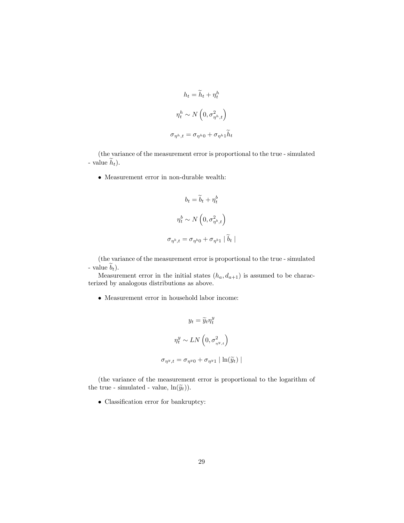$$
h_t = \widetilde{h}_t + \eta_t^h
$$
  

$$
\eta_t^h \sim N\left(0, \sigma_{\eta^h, t}^2\right)
$$
  

$$
\sigma_{\eta^h, t} = \sigma_{\eta^h 0} + \sigma_{\eta^h 1} \widetilde{h}_t
$$

(the variance of the measurement error is proportional to the true - simulated - value  $h_t$ ).

• Measurement error in non-durable wealth:

$$
b_t = \widetilde{b}_t + \eta_t^b
$$

$$
\eta_t^b \sim N\left(0, \sigma_{\eta^b, t}^2\right)
$$

$$
\sigma_{\eta^b, t} = \sigma_{\eta^b 0} + \sigma_{\eta^b 1} | \widetilde{b}_t |
$$

(the variance of the measurement error is proportional to the true - simulated - value  $b_t$ ).

Measurement error in the initial states  $(h_a, d_{a+1})$  is assumed to be characterized by analogous distributions as above.

 $\bullet\,$  Measurement error in household labor income:

$$
y_t = \widetilde{y}_t \eta_t^y
$$

$$
\eta_t^y \sim LN\left(0, \sigma_{\eta^y, t}^2\right)
$$

$$
\sigma_{\eta^y, t} = \sigma_{\eta^y 0} + \sigma_{\eta^y 1} | \ln(\widetilde{y}_t) |
$$

(the variance of the measurement error is proportional to the logarithm of the true - simulated - value,  $\ln(\widetilde{y}_t)$ .

• Classification error for bankruptcy: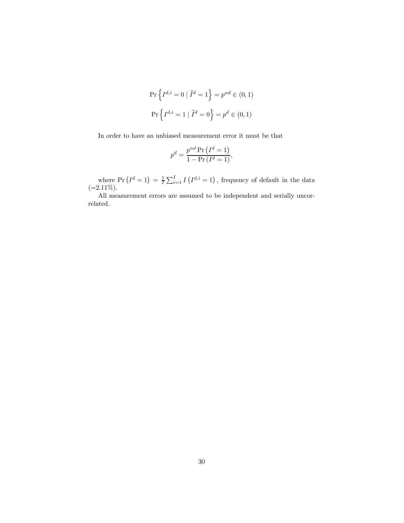$$
\Pr\left\{I^{d,i}=0 \mid \widetilde{I}^d=1\right\} = p^{nd} \in (0,1)
$$
  

$$
\Pr\left\{I^{d,i}=1 \mid \widetilde{I}^d=0\right\} = p^d \in (0,1)
$$

In order to have an unbiased measurement error it must be that

$$
p^d = \frac{p^{nd} \Pr\left(I^d = 1\right)}{1 - \Pr\left(I^d = 1\right)},
$$

where  $Pr(I^d = 1) = \frac{1}{I} \sum_{i=1}^I I(I^{d,i} = 1)$ , frequency of default in the data  $(=2.11\%).$ 

All measurement errors are assumed to be independent and serially uncorrelated.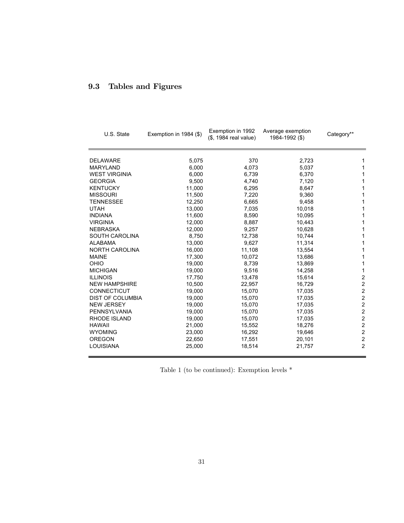# 9.3 Tables and Figures

| U.S. State              | Exemption in 1984 (\$) | Exemption in 1992<br>(\$, 1984 real value) | Average exemption<br>1984-1992 (\$) | Category**              |
|-------------------------|------------------------|--------------------------------------------|-------------------------------------|-------------------------|
| <b>DELAWARE</b>         | 5,075                  | 370                                        | 2,723                               | 1                       |
| <b>MARYLAND</b>         | 6,000                  | 4,073                                      | 5,037                               | $\mathbf 1$             |
| <b>WEST VIRGINIA</b>    | 6,000                  | 6,739                                      | 6,370                               | 1                       |
| <b>GEORGIA</b>          | 9,500                  | 4,740                                      | 7,120                               | 1                       |
| <b>KENTUCKY</b>         | 11,000                 | 6,295                                      | 8,647                               | 1                       |
| <b>MISSOURI</b>         | 11,500                 | 7,220                                      | 9,360                               | 1                       |
| <b>TENNESSEE</b>        | 12,250                 | 6,665                                      | 9,458                               | 1                       |
| <b>UTAH</b>             | 13,000                 | 7,035                                      | 10,018                              | 1                       |
| <b>INDIANA</b>          | 11,600                 | 8,590                                      | 10,095                              | 1                       |
| <b>VIRGINIA</b>         | 12,000                 | 8,887                                      | 10,443                              | 1                       |
| <b>NEBRASKA</b>         | 12,000                 | 9,257                                      | 10,628                              | 1                       |
| <b>SOUTH CAROLINA</b>   | 8,750                  | 12,738                                     | 10,744                              | 1                       |
| <b>ALABAMA</b>          | 13,000                 | 9,627                                      | 11,314                              | 1                       |
| <b>NORTH CAROLINA</b>   | 16,000                 | 11,108                                     | 13,554                              | 1                       |
| <b>MAINE</b>            | 17,300                 | 10,072                                     | 13,686                              | 1                       |
| OHIO                    | 19,000                 | 8,739                                      | 13,869                              | 1                       |
| <b>MICHIGAN</b>         | 19,000                 | 9,516                                      | 14,258                              | 1                       |
| <b>ILLINOIS</b>         | 17,750                 | 13,478                                     | 15,614                              | $\boldsymbol{2}$        |
| <b>NEW HAMPSHIRE</b>    | 10,500                 | 22,957                                     | 16,729                              | $\overline{\mathbf{c}}$ |
| CONNECTICUT             | 19,000                 | 15,070                                     | 17,035                              | $\overline{c}$          |
| <b>DIST OF COLUMBIA</b> | 19,000                 | 15,070                                     | 17,035                              | $\overline{c}$          |
| <b>NEW JERSEY</b>       | 19,000                 | 15,070                                     | 17,035                              | $\boldsymbol{2}$        |
| <b>PENNSYLVANIA</b>     | 19,000                 | 15,070                                     | 17,035                              | $\mathbf 2$             |
| RHODE ISLAND            | 19,000                 | 15,070                                     | 17,035                              | $\overline{2}$          |
| <b>HAWAII</b>           | 21,000                 | 15,552                                     | 18,276                              | $\boldsymbol{2}$        |
| <b>WYOMING</b>          | 23,000                 | 16,292                                     | 19,646                              | $\boldsymbol{2}$        |
| <b>OREGON</b>           | 22,650                 | 17,551                                     | 20,101                              | $\overline{2}$          |
| LOUISIANA               | 25,000                 | 18,514                                     | 21,757                              | $\overline{2}$          |

Table 1 (to be continued): Exemption levels \*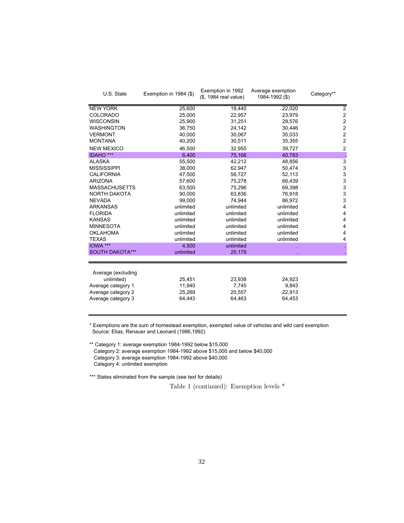| U.S. State             | Exemption in 1984 (\$) | Exemption in 1992<br>(\$, 1984 real value) | Average exemption<br>1984-1992 (\$) | Category**              |
|------------------------|------------------------|--------------------------------------------|-------------------------------------|-------------------------|
| <b>NEW YORK</b>        | 25,600                 | 18,440                                     | 22,020                              | 2                       |
| <b>COLORADO</b>        | 25,000                 | 22,957                                     | 23,979                              | $\overline{\mathbf{c}}$ |
| <b>WISCONSIN</b>       | 25,900                 | 31,251                                     | 28,576                              | $\overline{\mathbf{c}}$ |
| <b>WASHINGTON</b>      | 36,750                 | 24,142                                     | 30,446                              | $\overline{\mathbf{c}}$ |
| <b>VERMONT</b>         | 40,000                 | 30,067                                     | 35,033                              | $\overline{\mathbf{c}}$ |
| <b>MONTANA</b>         | 40,200                 | 30,511                                     | 35,355                              | $\overline{c}$          |
| <b>NEW MEXICO</b>      | 46,500                 | 32,955                                     | 39,727                              | $\overline{c}$          |
| <b>IDAHO</b> ***       | 6,400                  | 75,166                                     | 40,783                              |                         |
| <b>ALASKA</b>          | 55,500                 | 42,212                                     | 48,856                              | 3                       |
| <b>MISSISSIPPI</b>     | 38,000                 | 62,947                                     | 50,474                              | 3                       |
| <b>CALIFORNIA</b>      | 47,500                 | 56,727                                     | 52,113                              | 3                       |
| <b>ARIZONA</b>         | 57,600                 | 75,278                                     | 66,439                              | 3                       |
| <b>MASSACHUSETTS</b>   | 63,500                 | 75,296                                     | 69,398                              | 3                       |
| <b>NORTH DAKOTA</b>    | 90,000                 | 63,836                                     | 76,918                              | 3                       |
| <b>NEVADA</b>          | 99,000                 | 74,944                                     | 86,972                              | 3                       |
| <b>ARKANSAS</b>        | unlimited              | unlimited                                  | unlimited                           | 4                       |
| <b>FLORIDA</b>         | unlimited              | unlimited                                  | unlimited                           | 4                       |
| <b>KANSAS</b>          | unlimited              | unlimited                                  | unlimited                           | 4                       |
| <b>MINNESOTA</b>       | unlimited              | unlimited                                  | unlimited                           | 4                       |
| <b>OKLAHOMA</b>        | unlimited              | unlimited                                  | unlimited                           | 4                       |
| <b>TEXAS</b>           | unlimited              | unlimited                                  | unlimited                           | 4                       |
| IOWA ***               | 4,500                  | unlimited                                  |                                     |                         |
| <b>SOUTH DAKOTA***</b> | unlimited              | 25,179                                     |                                     |                         |
| Average (excluding     |                        |                                            |                                     |                         |
| unlimited)             | 25,451                 | 23,938                                     | 24,923                              |                         |
| Average category 1     | 11,940                 | 7,745                                      | 9,843                               |                         |
| Average category 2     | 25,269                 | 20,557                                     | 22,913                              |                         |
| Average category 3     | 64,443                 | 64,463                                     | 64,453                              |                         |
|                        |                        |                                            |                                     |                         |

\* Exemptions are the sum of homestead exemption, exempted value of vehicles and wild card exemption Source: Elias, Renauer and Leonard (1986,1992)

\*\* Category 1: average exemption 1984-1992 below \$15,000

Category 2: average exemption 1984-1992 above \$15,000 and below \$40,000

Category 3: average exemption 1984-1992 above \$40,000

Category 4: unlimited exemption

\*\*\* States eliminated from the sample (see text for details)

Table 1 (continued): Exemption levels \*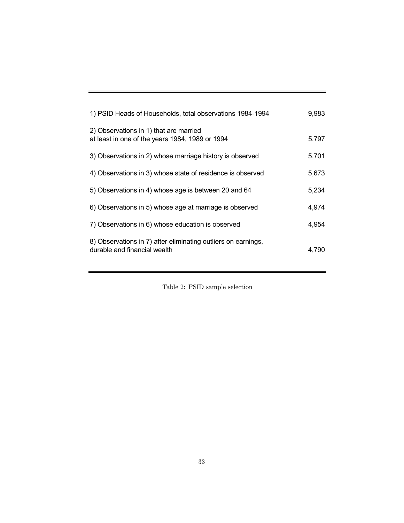| 1) PSID Heads of Households, total observations 1984-1994                                     | 9,983 |
|-----------------------------------------------------------------------------------------------|-------|
| 2) Observations in 1) that are married<br>at least in one of the years 1984, 1989 or 1994     | 5,797 |
| 3) Observations in 2) whose marriage history is observed                                      | 5,701 |
| 4) Observations in 3) whose state of residence is observed                                    | 5,673 |
| 5) Observations in 4) whose age is between 20 and 64                                          | 5,234 |
| 6) Observations in 5) whose age at marriage is observed                                       | 4,974 |
| 7) Observations in 6) whose education is observed                                             | 4,954 |
| 8) Observations in 7) after eliminating outliers on earnings,<br>durable and financial wealth | 4,790 |

Table 2: PSID sample selection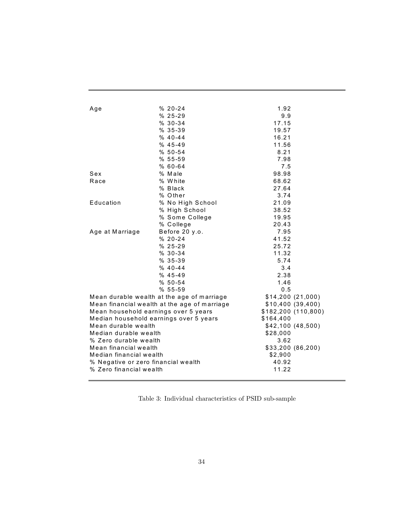| Age                                  | $% 20 - 24$                                  | 1.92                |
|--------------------------------------|----------------------------------------------|---------------------|
|                                      | $% 25 - 29$                                  | 9.9                 |
|                                      | $% 30-34$                                    | 17.15               |
|                                      | $%35-39$                                     | 19.57               |
|                                      | $% 40-44$                                    | 16.21               |
|                                      | $% 45-49$                                    | 11.56               |
|                                      | $% 50 - 54$                                  | 8.21                |
|                                      | $%55 - 59$                                   | 7.98                |
|                                      | $%60-64$                                     | 7.5                 |
| Sex                                  | % Male                                       | 98.98               |
| Race                                 | % White                                      | 68.62               |
|                                      | % Black                                      | 27.64               |
|                                      | % Other                                      | 3.74                |
| Education                            | % No High School                             | 21.09               |
|                                      | % High School                                | 38.52               |
|                                      | % Some College                               | 19.95               |
|                                      | % College                                    | 20.43               |
| Age at Marriage                      | Before 20 y.o.                               | 7.95                |
|                                      | $% 20 - 24$                                  | 41.52               |
|                                      | $% 25-29$                                    | 25.72               |
|                                      | $% 30-34$                                    | 11.32               |
|                                      | $%35-39$                                     | 5.74                |
|                                      | $% 40-44$                                    | 3.4                 |
|                                      | $% 45-49$                                    | 2.38                |
|                                      | $%50-54$                                     | 1.46                |
|                                      | $%55 - 59$                                   | 0.5                 |
|                                      | Mean durable wealth at the age of marriage   | \$14,200(21,000)    |
|                                      | Mean financial wealth at the age of marriage | \$10,400(39,400)    |
| Mean household earnings over 5 years |                                              | \$182,200 (110,800) |
|                                      | Median household earnings over 5 years       | \$164,400           |
| Mean durable wealth                  |                                              | \$42,100(48,500)    |
| Median durable wealth                |                                              | \$28,000            |
| % Zero durable wealth                |                                              | 3.62                |
| Mean financial wealth                |                                              | \$33,200 (86,200)   |
| Median financial wealth              |                                              | \$2,900             |
| % Negative or zero financial wealth  |                                              | 40.92               |
| % Zero financial wealth              |                                              | 11.22               |
|                                      |                                              |                     |

Table 3: Individual characteristics of PSID sub-sample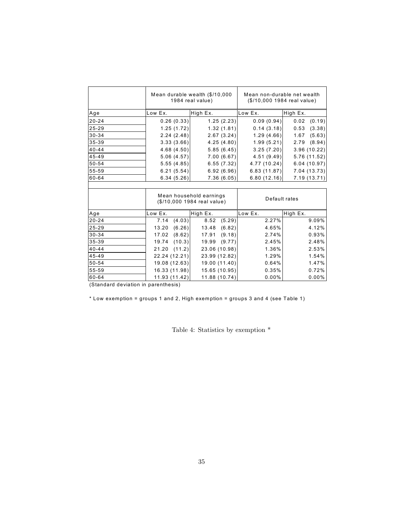|           | Mean durable wealth (\$/10,000<br>1984 real value) |                                                        | Mean non-durable net wealth<br>(\$/10,000 1984 real value) |                |
|-----------|----------------------------------------------------|--------------------------------------------------------|------------------------------------------------------------|----------------|
| Age       | Low Ex.                                            | High Ex.                                               | Low Ex.                                                    | High Ex.       |
| $20 - 24$ | 0.26(0.33)                                         | 1.25(2.23)                                             | 0.09(0.94)                                                 | (0.19)<br>0.02 |
| $25 - 29$ | 1.25(1.72)                                         | 1.32(1.81)                                             | 0.14(3.18)                                                 | 0.53<br>(3.38) |
| $30 - 34$ | 2.24(2.48)                                         | 2.67(3.24)                                             | 1.29(4.66)                                                 | (5.63)<br>1.67 |
| 35-39     | 3.33(3.66)                                         | 4.25 (4.80)                                            | 1.99(5.21)                                                 | (8.94)<br>2.79 |
| $40 - 44$ | 4.68(4.50)                                         | 5.85(6.45)                                             | 3.25(7.20)                                                 | 3.96 (10.22)   |
| $45 - 49$ | 5.06(4.57)                                         | 7.00(6.67)                                             | 4.51(9.49)                                                 | 5.76 (11.52)   |
| 50-54     | 5.55(4.85)                                         | 6.55(7.32)                                             | 4.77 (10.24)                                               | 6.04(10.97)    |
| 55-59     | 6.21(5.54)                                         | 6.92(6.96)                                             | 6.83(11.87)                                                | 7.04(13.73)    |
| 60-64     | 6.34(5.26)                                         | 7.36(6.05)                                             | 6.80(12.16)                                                | 7.19(13.71)    |
|           |                                                    |                                                        |                                                            |                |
|           |                                                    | Mean household earnings<br>(\$/10,000 1984 real value) | Default rates                                              |                |
| Age       | Low Ex.                                            | High Ex.                                               | Low Ex.                                                    | High Ex.       |
| $20 - 24$ | 7.14<br>(4.03)                                     | (5.29)<br>8.52                                         | 2.27%                                                      | 9.09%          |
| $25 - 29$ | (6.26)<br>13.20                                    | (6.82)<br>13.48                                        | 4.65%                                                      | 4.12%          |
| $30 - 34$ | (8.62)<br>17.02                                    | (9.18)<br>17.91                                        | 2.74%                                                      | 0.93%          |
| 35-39     | (10.3)<br>19.74                                    | (9.77)<br>19.99                                        | 2.45%                                                      | 2.48%          |
| $40 - 44$ | (11.2)<br>21.20                                    | 23.06 (10.98)                                          | 1.36%                                                      | 2.53%          |
| $45 - 49$ | 22.24 (12.21)                                      | 23.99 (12.82)                                          | 1.29%                                                      | 1.54%          |
| 50-54     | 19.08 (12.63)                                      | 19.00 (11.40)                                          | 0.64%                                                      | 1.47%          |
| 55-59     | 16.33 (11.98)                                      | 15.65 (10.95)                                          | 0.35%                                                      | 0.72%          |
| 60-64     | 11.93 (11.42)                                      | 11.88 (10.74)                                          | $0.00\%$                                                   | 0.00%          |

(Standard deviation in parenthesis)

\* Low exemption = groups 1 and 2, High exemption = groups 3 and 4 (see Table 1)

Table 4: Statistics by exemption \*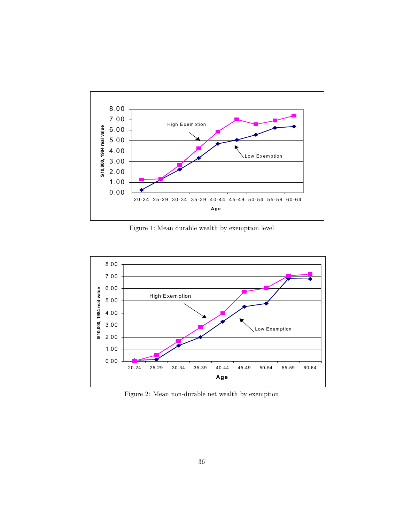

Figure 1: Mean durable wealth by exemption level



Figure 2: Mean non-durable net wealth by exemption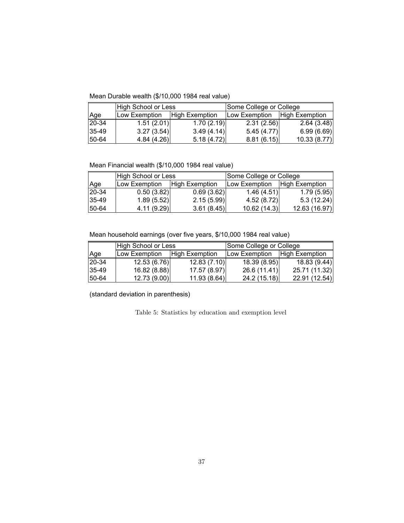Mean Durable wealth (\$/10,000 1984 real value)

|           | High School or Less |                       | Some College or College |                |
|-----------|---------------------|-----------------------|-------------------------|----------------|
| Age       | Low Exemption       | <b>High Exemption</b> | Low Exemption           | High Exemption |
| 20-34     | 1.51(2.01)          | 1.70(2.19)            | 2.31(2.56)              | 2.64(3.48)     |
| $35-49$   | 3.27(3.54)          | 3.49(4.14)            | 5.45(4.77)              | 6.99(6.69)     |
| $ 50-64 $ | 4.84(4.26)          | 5.18(4.72)            | 8.81(6.15)              | 10.33(8.77)    |

Mean Financial wealth (\$/10,000 1984 real value)

|           | High School or Less |                       | Some College or College |                |
|-----------|---------------------|-----------------------|-------------------------|----------------|
| Age       | Low Exemption       | <b>High Exemption</b> | Low Exemption           | High Exemption |
| 20-34     | 0.50(3.82)          | 0.69(3.62)            | 1.46(4.51)              | 1.79(5.95)     |
| $ 35-49 $ | 1.89(5.52)          | 2.15(5.99)            | 4.52(8.72)              | 5.3(12.24)     |
| 150-64    | 4.11(9.29)          | 3.61(8.45)            | 10.62(14.3)             | 12.63 (16.97)  |

Mean household earnings (over five years, \$/10,000 1984 real value)

|           | High School or Less |                       | Some College or College |                       |
|-----------|---------------------|-----------------------|-------------------------|-----------------------|
| Age       | Low Exemption       | <b>High Exemption</b> | Low Exemption           | <b>High Exemption</b> |
| $20 - 34$ | 12.53(6.76)         | 12.83(7.10)           | 18.39 (8.95)            | 18.83(9.44)           |
| 135-49    | 16.82(8.88)         | 17.57 (8.97)          | 26.6(11.41)             | 25.71 (11.32)         |
| 50-64     | 12.73 (9.00)        | 11.93(8.64)           | 24.2 (15.18)            | 22.91(12.54)          |

(standard deviation in parenthesis)

Table 5: Statistics by education and exemption level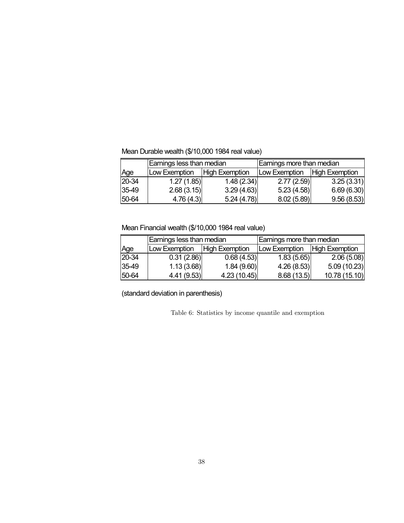Mean Durable wealth (\$/10,000 1984 real value)

|       | Earnings less than median |                       | Earnings more than median |                       |
|-------|---------------------------|-----------------------|---------------------------|-----------------------|
| Age   | Low Exemption             | <b>High Exemption</b> | Low Exemption             | <b>High Exemption</b> |
| 20-34 | 1.27(1.85)                | 1.48(2.34)            | 2.77(2.59)                | 3.25(3.31)            |
| 35-49 | 2.68(3.15)                | 3.29(4.63)            | 5.23(4.58)                | 6.69(6.30)            |
| 50-64 | 4.76(4.3)                 | 5.24(4.78)            | 8.02(5.89)                | 9.56(8.53)            |

# Mean Financial wealth (\$/10,000 1984 real value)

|            | Earnings less than median      |             | Earnings more than median      |               |
|------------|--------------------------------|-------------|--------------------------------|---------------|
| Age        | Low Exemption   High Exemption |             | Low Exemption   High Exemption |               |
| 20-34      | 0.31(2.86)                     | 0.68(4.53)  | 1.83(5.65)                     | 2.06(5.08)    |
| 35-49      | 1.13(3.68)                     | 1.84(9.60)  | 4.26(8.53)                     | 5.09(10.23)   |
| $150 - 64$ | 4.41(9.53)                     | 4.23(10.45) | 8.68(13.5)                     | 10.78 (15.10) |

(standard deviation in parenthesis)

Table 6: Statistics by income quantile and exemption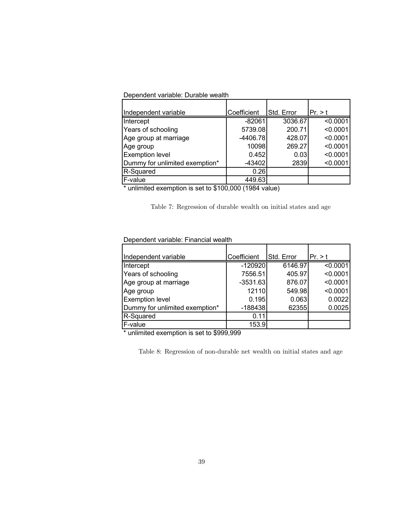| Dependent variable: Durable wealth |  |
|------------------------------------|--|
|------------------------------------|--|

| Independent variable           | Coefficient | Std. Error | Pr. > t  |
|--------------------------------|-------------|------------|----------|
| Intercept                      | $-82061$    | 3036.67    | < 0.0001 |
| Years of schooling             | 5739.08     | 200.71     | < 0.0001 |
| Age group at marriage          | $-4406.78$  | 428.07     | < 0.0001 |
| Age group                      | 10098       | 269.27     | < 0.0001 |
| <b>Exemption level</b>         | 0.452       | 0.03       | < 0.0001 |
| Dummy for unlimited exemption* | $-43402$    | 2839       | < 0.0001 |
| R-Squared                      | 0.26        |            |          |
| F-value                        | 449.63      |            |          |

\* unlimited exemption is set to \$100,000 (1984 value)

Table 7: Regression of durable wealth on initial states and age

### Dependent variable: Financial wealth

| Independent variable           | Coefficient | Std. Error | Pr. > t  |
|--------------------------------|-------------|------------|----------|
| Intercept                      | $-120920$   | 6146.97    | < 0.0001 |
| Years of schooling             | 7556.51     | 405.97     | < 0.0001 |
| Age group at marriage          | $-3531.63$  | 876.07     | < 0.0001 |
| Age group                      | 12110       | 549.98     | < 0.0001 |
| <b>Exemption level</b>         | 0.195       | 0.063      | 0.0022   |
| Dummy for unlimited exemption* | $-188438$   | 62355      | 0.0025   |
| R-Squared                      | 0.11        |            |          |
| F-value                        | 153.9       |            |          |

\* unlimited exemption is set to \$999,999

Table 8: Regression of non-durable net wealth on initial states and age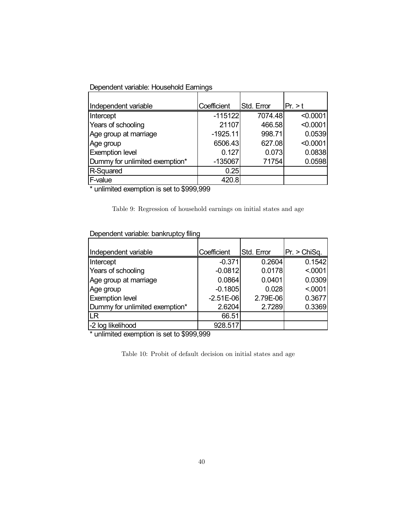Dependent variable: Household Earnings

| Independent variable           | Coefficient | Std. Error | Pr. > t  |
|--------------------------------|-------------|------------|----------|
| Intercept                      | $-115122$   | 7074.48    | < 0.0001 |
| Years of schooling             | 21107       | 466.58     | < 0.0001 |
| Age group at marriage          | $-1925.11$  | 998.71     | 0.0539   |
| Age group                      | 6506.43     | 627.08     | < 0.0001 |
| <b>Exemption level</b>         | 0.127       | 0.073      | 0.0838   |
| Dummy for unlimited exemption* | $-135067$   | 71754      | 0.0598   |
| R-Squared                      | 0.25        |            |          |
| F-value                        | 420.8       |            |          |

\* unlimited exemption is set to \$999,999

Table 9: Regression of household earnings on initial states and age

| Dependent variable: bankruptcy filing |  |  |  |  |
|---------------------------------------|--|--|--|--|
|---------------------------------------|--|--|--|--|

| Independent variable           | Coefficient | Std. Error | Pr. > ChiSq. |
|--------------------------------|-------------|------------|--------------|
| Intercept                      | $-0.371$    | 0.2604     | 0.1542       |
| Years of schooling             | $-0.0812$   | 0.0178     | < 0001       |
| Age group at marriage          | 0.0864      | 0.0401     | 0.0309       |
| Age group                      | $-0.1805$   | 0.028      | < 0001       |
| <b>Exemption level</b>         | $-2.51E-06$ | 2.79E-06   | 0.3677       |
| Dummy for unlimited exemption* | 2.6204      | 2.7289     | 0.3369       |
| LR                             | 66.51       |            |              |
| -2 log likelihood              | 928.517     |            |              |

\* unlimited exemption is set to \$999,999

Table 10: Probit of default decision on initial states and age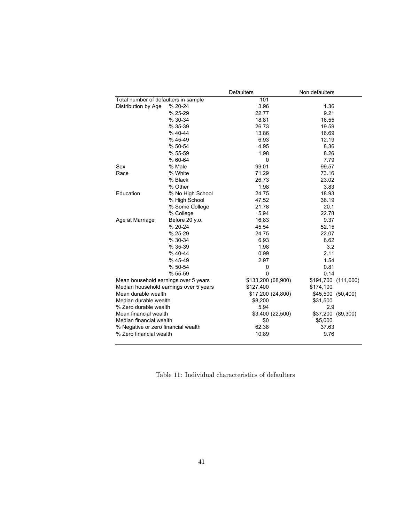|                                      |                                        | <b>Defaulters</b>  | Non defaulters      |
|--------------------------------------|----------------------------------------|--------------------|---------------------|
| Total number of defaulters in sample |                                        | 101                |                     |
| Distribution by Age                  | % 20-24                                | 3.96               | 1.36                |
|                                      | % 25-29                                | 22.77              | 9.21                |
|                                      | % 30-34                                | 18.81              | 16.55               |
|                                      | % 35-39                                | 26.73              | 19.59               |
|                                      | % 40-44                                | 13.86              | 16.69               |
|                                      | %45-49                                 | 6.93               | 12.19               |
|                                      | % 50-54                                | 4.95               | 8.36                |
|                                      | % 55-59                                | 1.98               | 8.26                |
|                                      | % 60-64                                | $\mathbf 0$        | 7.79                |
| Sex                                  | % Male                                 | 99.01              | 99.57               |
| Race                                 | % White                                | 71.29              | 73.16               |
|                                      | % Black                                | 26.73              | 23.02               |
|                                      | % Other                                | 1.98               | 3.83                |
| Education                            | % No High School                       | 24.75              | 18.93               |
|                                      | % High School                          | 47.52              | 38.19               |
|                                      | % Some College                         | 21.78              | 20.1                |
|                                      | % College                              | 5.94               | 22.78               |
| Age at Marriage                      | Before 20 y.o.                         | 16.83              | 9.37                |
|                                      | % 20-24                                | 45.54              | 52.15               |
|                                      | % 25-29                                | 24.75              | 22.07               |
|                                      | % 30-34                                | 6.93               | 8.62                |
|                                      | % 35-39                                | 1.98               | 3.2                 |
|                                      | $% 40-44$                              | 0.99               | 2.11                |
|                                      | % 45-49                                | 2.97               | 1.54                |
|                                      | % 50-54                                | 0                  | 0.81                |
|                                      | % 55-59                                | $\Omega$           | 0.14                |
| Mean household earnings over 5 years |                                        | \$133,200 (68,900) | \$191,700 (111,600) |
|                                      | Median household earnings over 5 years | \$127,400          | \$174,100           |
| Mean durable wealth                  |                                        | \$17,200 (24,800)  | \$45,500 (50,400)   |
| Median durable wealth                |                                        | \$8,200            | \$31,500            |
| % Zero durable wealth                |                                        | 5.94               | 2.9                 |
| Mean financial wealth                |                                        | \$3,400 (22,500)   | \$37,200 (89,300)   |
| Median financial wealth              |                                        | \$0                | \$5,000             |
| % Negative or zero financial wealth  |                                        | 62.38              | 37.63               |
| % Zero financial wealth              |                                        | 10.89              | 9.76                |
|                                      |                                        |                    |                     |

Table 11: Individual characteristics of defaulters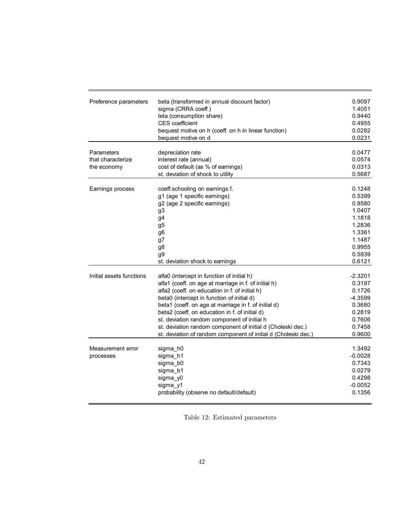| Preference parameters    | beta (transformed in annual discount factor)                   | 0.9097    |
|--------------------------|----------------------------------------------------------------|-----------|
|                          | sigma (CRRA coeff.)                                            | 1.4051    |
|                          | teta (consumption share)                                       | 0.9440    |
|                          | CES coefficient                                                | 0.4955    |
|                          | bequest motive on h (coeff. on h in linear function)           | 0.0282    |
|                          | bequest motive on d                                            | 0.0231    |
| Parameters               | depreciation rate                                              | 0.0477    |
| that characterize        | interest rate (annual)                                         | 0.0574    |
| the economy              | cost of default (as % of earnings)                             | 0.0313    |
|                          | st. deviation of shock to utility                              | 0.5687    |
|                          |                                                                |           |
| Earnings process         | coeff.schooling on earnings f.                                 | 0.1248    |
|                          | g1 (age 1 specific earnings)                                   | 0.5399    |
|                          | g2 (age 2 specific earnings)                                   | 0.8580    |
|                          | g <sub>3</sub>                                                 | 1.0407    |
|                          | g4                                                             | 1.1818    |
|                          | g <sub>5</sub>                                                 | 1.2836    |
|                          | g6                                                             | 1.3361    |
|                          | g7                                                             | 1.1487    |
|                          | g8                                                             | 0.9955    |
|                          | g9                                                             | 0.5939    |
|                          | st. deviation shock to earnings                                | 0.6121    |
|                          |                                                                |           |
| Initial assets functions | alfa0 (intercept in function of initial h)                     | $-2.3201$ |
|                          | alfa1 (coeff. on age at marriage in f. of initial h)           | 0.3197    |
|                          | alfa2 (coeff. on education in f. of initial h)                 | 0.1726    |
|                          | beta0 (intercept in function of initial d)                     | -4.3599   |
|                          | beta1 (coeff. on age at marriage in f. of initial d)           | 0.3680    |
|                          | beta2 (coeff. on education in f. of initial d)                 | 0.2819    |
|                          | st. deviation random component of initial h                    | 0.7606    |
|                          | st. deviation random component of initial d (Choleski dec.)    | 0.7458    |
|                          | st. deviation of random component of initial d (Choleski dec.) | 0.9600    |
| Measurement error        |                                                                | 1.3492    |
|                          | sigma_h0<br>sigma h1                                           | $-0.0028$ |
| processes                |                                                                | 0.7343    |
|                          | sigma b0                                                       | 0.0279    |
|                          | sigma b1                                                       | 0.4298    |
|                          | sigma y0                                                       |           |
|                          | sigma_y1                                                       | $-0.0052$ |
|                          | probability (observe no default/default)                       | 0.1356    |

Table 12: Estimated parameters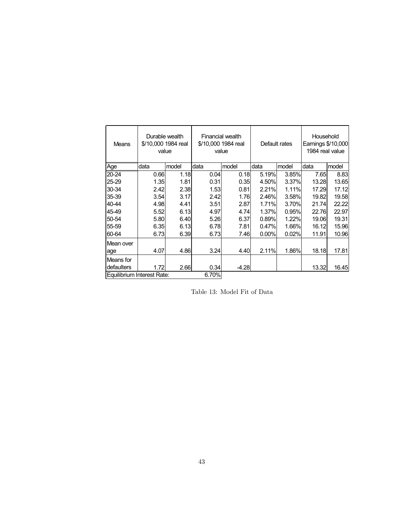| Means                      | Durable wealth<br>\$/10,000 1984 real<br>value |       |       | Financial wealth<br>\$/10,000 1984 real<br>value |        | Default rates | Household<br>Earnings \$/10,000<br>1984 real value |       |
|----------------------------|------------------------------------------------|-------|-------|--------------------------------------------------|--------|---------------|----------------------------------------------------|-------|
| Age                        | data                                           | model | data  | model                                            | data   | model         | data                                               | model |
| $20 - 24$                  | 0.66                                           | 1.18  | 0.04  | 0.18                                             | 5.19%  | 3.85%         | 7.65                                               | 8.83  |
| 25-29                      | 1.35                                           | 1.81  | 0.31  | 0.35                                             | 4.50%  | 3.37%         | 13.28                                              | 13.65 |
| 30-34                      | 2.42                                           | 2.38  | 1.53  | 0.81                                             | 2.21%  | 1.11%         | 17.29                                              | 17.12 |
| 35-39                      | 3.54                                           | 3.17  | 2.42  | 1.76                                             | 2.46%  | 3.58%         | 19.82                                              | 19.58 |
| 40-44                      | 4.98                                           | 4.41  | 3.51  | 2.87                                             | 1.71%l | 3.70%         | 21.74                                              | 22.22 |
| 45-49                      | 5.52                                           | 6.13  | 4.97  | 4.74                                             | 1.37%l | 0.95%         | 22.76                                              | 22.97 |
| 50-54                      | 5.80                                           | 6.40  | 5.26  | 6.37                                             | 0.89%  | 1.22%         | 19.06                                              | 19.31 |
| 55-59                      | 6.35                                           | 6.13  | 6.78  | 7.81                                             | 0.47%  | 1.66%         | 16.12                                              | 15.96 |
| 60-64                      | 6.73                                           | 6.39  | 6.73  | 7.46                                             | 0.00%  | 0.02%         | 11.91                                              | 10.96 |
| Mean over                  |                                                |       |       |                                                  |        |               |                                                    |       |
| age                        | 4.07                                           | 4.86  | 3.24  | 4.40                                             | 2.11%  | 1.86%         | 18.18                                              | 17.81 |
| Means for                  |                                                |       |       |                                                  |        |               |                                                    |       |
| defaulters                 | 1.72                                           | 2.66  | 0.34  | $-4.28$                                          |        |               | 13.32                                              | 16.45 |
| Equilibrium Interest Rate: |                                                |       | 6.70% |                                                  |        |               |                                                    |       |

Table 13: Model Fit of Data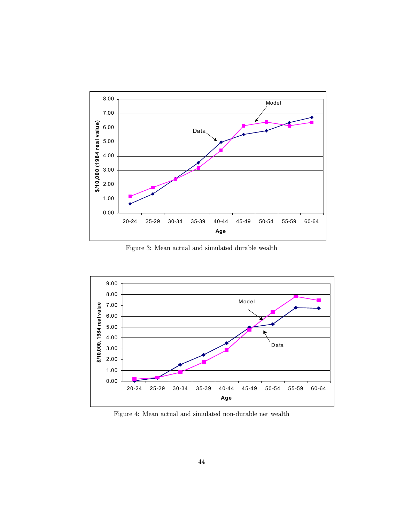

Figure 3: Mean actual and simulated durable wealth



Figure 4: Mean actual and simulated non-durable net wealth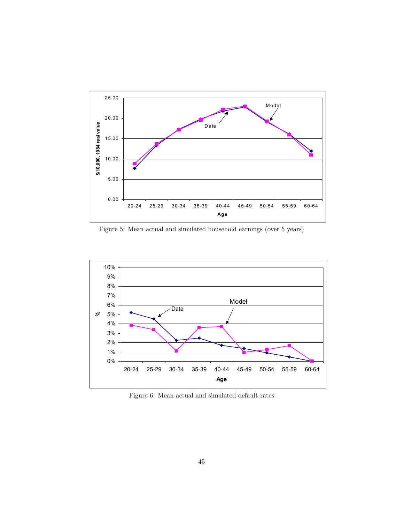

Figure 5: Mean actual and simulated household earnings (over 5 years)



Figure 6: Mean actual and simulated default rates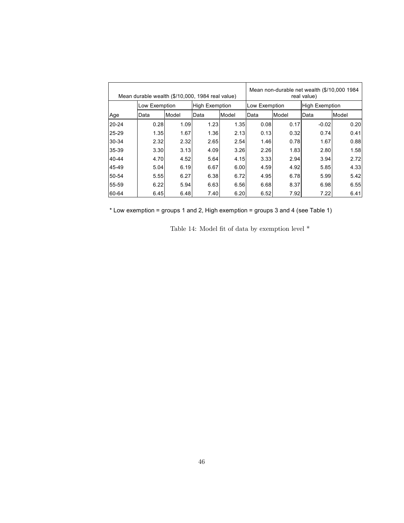| Mean durable wealth (\$/10,000, 1984 real value) |               |       |                       |       |               | Mean non-durable net wealth (\$/10,000 1984)<br>real value) |                       |       |
|--------------------------------------------------|---------------|-------|-----------------------|-------|---------------|-------------------------------------------------------------|-----------------------|-------|
|                                                  | Low Exemption |       | <b>High Exemption</b> |       | Low Exemption |                                                             | <b>High Exemption</b> |       |
| Age                                              | Data          | Model | Data                  | Model | Data          | Model                                                       | Data                  | Model |
| 20-24                                            | 0.28          | 1.09  | 1.23                  | 1.35  | 0.08          | 0.17                                                        | $-0.02$               | 0.20  |
| 25-29                                            | 1.35          | 1.67  | 1.36                  | 2.13  | 0.13          | 0.32                                                        | 0.74                  | 0.41  |
| 30-34                                            | 2.32          | 2.32  | 2.65                  | 2.54  | 1.46          | 0.78                                                        | 1.67                  | 0.88  |
| 35-39                                            | 3.30          | 3.13  | 4.09                  | 3.26  | 2.26          | 1.83                                                        | 2.80                  | 1.58  |
| 40-44                                            | 4.70          | 4.52  | 5.64                  | 4.15  | 3.33          | 2.94                                                        | 3.94                  | 2.72  |
| 45-49                                            | 5.04          | 6.19  | 6.67                  | 6.00  | 4.59          | 4.92                                                        | 5.85                  | 4.33  |
| 50-54                                            | 5.55          | 6.27  | 6.38                  | 6.72  | 4.95          | 6.78                                                        | 5.99                  | 5.42  |
| 55-59                                            | 6.22          | 5.94  | 6.63                  | 6.56  | 6.68          | 8.37                                                        | 6.98                  | 6.55  |
| 60-64                                            | 6.45          | 6.48  | 7.40                  | 6.20  | 6.52          | 7.92                                                        | 7.22                  | 6.41  |

\* Low exemption = groups 1 and 2, High exemption = groups 3 and 4 (see Table 1)

Table 14: Model fit of data by exemption level  $^\ast$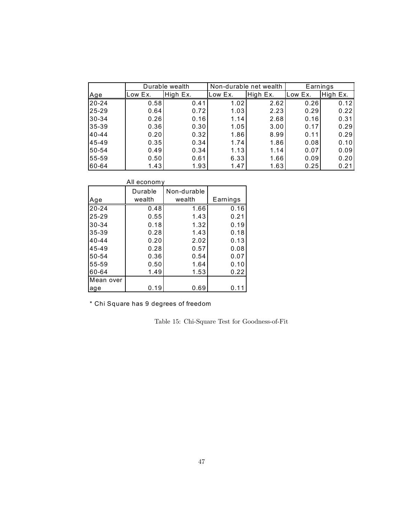|           | Durable wealth |          | Non-durable net wealth |          | Earnings |          |
|-----------|----------------|----------|------------------------|----------|----------|----------|
| Age       | Low Ex.        | High Ex. | Low Ex.                | High Ex. | Low Ex.  | High Ex. |
| $20 - 24$ | 0.58           | 0.41     | 1.02                   | 2.62     | 0.26     | 0.12     |
| $25 - 29$ | 0.64           | 0.72     | 1.03                   | 2.23     | 0.29     | 0.22     |
| 30-34     | 0.26           | 0.16     | 1.14                   | 2.68     | 0.16     | 0.31     |
| 35-39     | 0.36           | 0.30     | 1.05                   | 3.00     | 0.17     | 0.29     |
| $40 - 44$ | 0.20           | 0.32     | 1.86                   | 8.99     | 0.11     | 0.29     |
| 45-49     | 0.35           | 0.34     | 1.74                   | 1.86     | 0.08     | 0.10     |
| 50-54     | 0.49           | 0.34     | 1.13                   | 1.14     | 0.07     | 0.09     |
| 55-59     | 0.50           | 0.61     | 6.33                   | 1.66     | 0.09     | 0.20     |
| 60-64     | 1.43           | 1.93     | 1.47                   | 1.63     | 0.25     | 0.21     |

|           | All economy       |                       |          |  |  |  |
|-----------|-------------------|-----------------------|----------|--|--|--|
| Age       | Durable<br>wealth | Non-durable<br>wealth | Earnings |  |  |  |
| $20 - 24$ | 0.48              | 1.66                  | 0.16     |  |  |  |
| 25-29     | 0.55              | 1.43                  | 0.21     |  |  |  |
| $30 - 34$ | 0.18              | 1.32                  | 0.19     |  |  |  |
| 35-39     | 0.28              | 1.43                  | 0.18     |  |  |  |
| $40 - 44$ | 0.20              | 2.02                  | 0.13     |  |  |  |
| 45-49     | 0.28              | 0.57                  | 0.08     |  |  |  |
| 50-54     | 0.36              | 0.54                  | 0.07     |  |  |  |
| 55-59     | 0.50              | 1.64                  | 0.10     |  |  |  |
| 60-64     | 1.49              | 1.53                  | 0.22     |  |  |  |
| Mean over |                   |                       |          |  |  |  |
| age       | 0.19              | 0.69                  | 0.11     |  |  |  |

\* Chi Square has 9 degrees of freedom

Table 15: Chi-Square Test for Goodness-of-Fit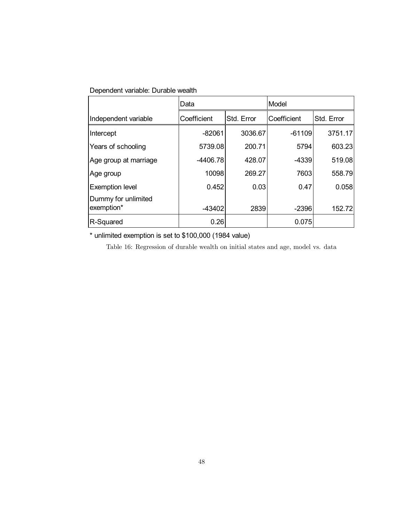## Dependent variable: Durable wealth

|                                   | Data        |            | Model       |            |
|-----------------------------------|-------------|------------|-------------|------------|
| Independent variable              | Coefficient | Std. Error | Coefficient | Std. Error |
| Intercept                         | $-82061$    | 3036.67    | $-61109$    | 3751.17    |
| Years of schooling                | 5739.08     | 200.71     | 5794        | 603.23     |
| Age group at marriage             | $-4406.78$  | 428.07     | -4339       | 519.08     |
| Age group                         | 10098       | 269.27     | 7603        | 558.79     |
| <b>Exemption level</b>            | 0.452       | 0.03       | 0.47        | 0.058      |
| Dummy for unlimited<br>exemption* | $-43402$    | 2839       | $-2396$     | 152.72     |
| R-Squared                         | 0.26        |            | 0.075       |            |

\* unlimited exemption is set to \$100,000 (1984 value)

Table 16: Regression of durable wealth on initial states and age, model vs. data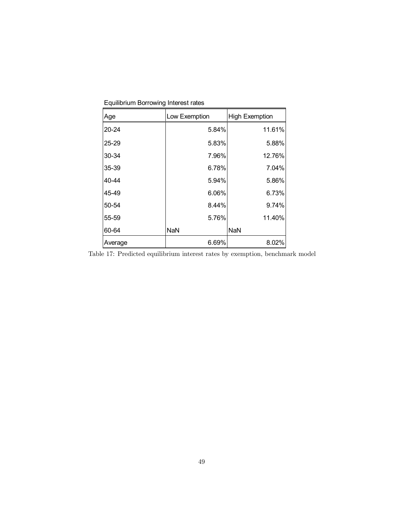| Age       | Low Exemption | <b>High Exemption</b> |
|-----------|---------------|-----------------------|
| $20 - 24$ | 5.84%         | 11.61%                |
| 25-29     | 5.83%         | 5.88%                 |
| 30-34     | 7.96%         | 12.76%                |
| 35-39     | 6.78%         | 7.04%                 |
| 40-44     | 5.94%         | 5.86%                 |
| 45-49     | 6.06%         | 6.73%                 |
| 50-54     | 8.44%         | 9.74%                 |
| 55-59     | 5.76%         | 11.40%                |
| 60-64     | <b>NaN</b>    | <b>NaN</b>            |
| Average   | 6.69%         | 8.02%                 |

Equilibrium Borrowing Interest rates

Table 17: Predicted equilibrium interest rates by exemption, benchmark model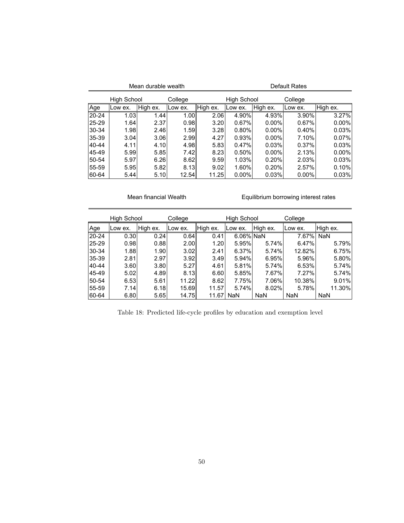| Mean durable wealth |         |          |         | Default Rates |                    |          |          |          |
|---------------------|---------|----------|---------|---------------|--------------------|----------|----------|----------|
| High School         |         |          | College |               | <b>High School</b> |          | College  |          |
| Age                 | Low ex. | High ex. | Low ex. | High ex.      | Low ex.            | High ex. | Low ex.  | High ex. |
| 20-24               | 1.03    | 1.44     | 1.00    | 2.06          | 4.90%              | 4.93%    | 3.90%    | 3.27%    |
| 25-29               | 1.64    | 2.37     | 0.98    | 3.20          | 0.67%              | $0.00\%$ | 0.67%    | $0.00\%$ |
| 30-34               | 1.98    | 2.46     | 1.59    | 3.28          | 0.80%              | $0.00\%$ | 0.40%    | 0.03%    |
| 35-39               | 3.04    | 3.06     | 2.99    | 4.27          | 0.93%              | $0.00\%$ | 7.10%    | 0.07%    |
| 40-44               | 4.11    | 4.10     | 4.98    | 5.83          | 0.47%              | 0.03%    | 0.37%    | 0.03%    |
| 45-49               | 5.99    | 5.85     | 7.42l   | 8.23          | 0.50%              | $0.00\%$ | 2.13%    | $0.00\%$ |
| 50-54               | 5.97    | 6.26     | 8.62    | 9.59          | 1.03%              | 0.20%    | 2.03%    | 0.03%    |
| 55-59               | 5.95    | 5.82     | 8.13    | 9.02          | 1.60%              | 0.20%    | 2.57%    | 0.10%    |
| 60-64               | 5.44    | 5.10     | 12.54   | 11.25         | $0.00\%$           | 0.03%    | $0.00\%$ | 0.03%    |

### Mean financial Wealth

Equilibrium borrowing interest rates

|           | <b>High School</b> |          | College |          | High School |            | College    |            |
|-----------|--------------------|----------|---------|----------|-------------|------------|------------|------------|
| Age       | Low ex.            | High ex. | Low ex. | High ex. | Low ex.     | High ex.   | Low ex.    | High ex.   |
| $20 - 24$ | 0.30               | 0.24     | 0.64    | 0.41     | 6.06% NaN   |            | 7.67%      | NaN        |
| 25-29     | 0.98               | 0.88     | 2.00    | 1.20     | 5.95%       | 5.74%      | 6.47%      | 5.79%      |
| $30-34$   | 1.88               | 1.90     | 3.02    | 2.41     | 6.37%       | 5.74%      | 12.82%     | 6.75%      |
| 35-39     | 2.81               | 2.97     | 3.92    | 3.49     | 5.94%       | 6.95%      | 5.96%      | $5.80\%$   |
| 40-44     | 3.60               | 3.80     | 5.27    | 4.61     | 5.81%       | 5.74%      | 6.53%      | 5.74%      |
| 45-49     | 5.02               | 4.89     | 8.13    | 6.601    | 5.85%       | 7.67%      | 7.27%      | 5.74%      |
| 50-54     | 6.53               | 5.61     | 11.22   | 8.62     | 7.75%       | 7.06%      | 10.38%     | 9.01%      |
| 55-59     | 7.14               | 6.18     | 15.69   | 11.57    | 5.74%       | 8.02%      | 5.78%      | 11.30%     |
| 60-64     | 6.80               | 5.65     | 14.75   | 11.67    | <b>NaN</b>  | <b>NaN</b> | <b>NaN</b> | <b>NaN</b> |

Table 18: Predicted life-cycle profiles by education and exemption level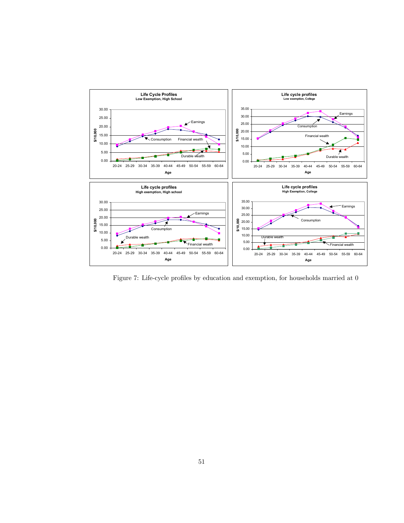

Figure 7: Life-cycle profiles by education and exemption, for households married at 0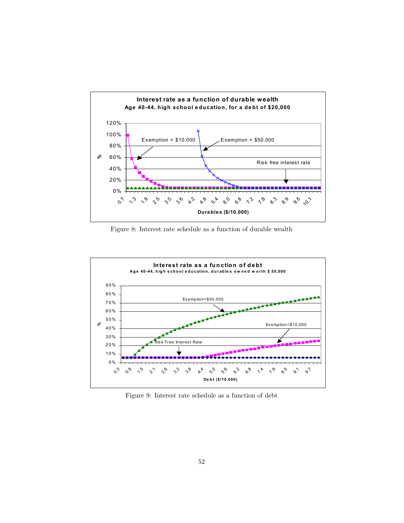

Figure 8: Interest rate schedule as a function of durable wealth



Figure 9: Interest rate schedule as a function of debt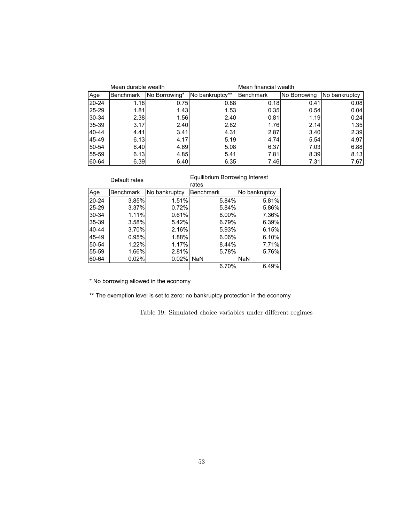|           | Mean durable wealth |               |                 | Mean financial wealth |              |               |  |
|-----------|---------------------|---------------|-----------------|-----------------------|--------------|---------------|--|
| Age       | Benchmark           | No Borrowing* | No bankruptcy** | <b>Benchmark</b>      | No Borrowing | No bankruptcy |  |
| $20 - 24$ | 1.18                | 0.75          | 0.88            | 0.18                  | 0.41         | 0.08          |  |
| 25-29     | 1.81                | 1.43          | 1.53            | 0.35                  | 0.54         | 0.04          |  |
| 30-34     | 2.38                | 1.56          | 2.40            | 0.81                  | 1.19         | 0.24          |  |
| 35-39     | 3.17                | 2.40          | 2.82            | 1.76I                 | 2.14         | 1.35          |  |
| 40-44     | 4.41                | 3.41          | 4.31            | 2.87                  | 3.40         | 2.39          |  |
| 45-49     | 6.13                | 4.17          | 5.19            | 4.74                  | 5.54         | 4.97          |  |
| 50-54     | 6.40                | 4.69          | 5.08            | 6.37                  | 7.03         | 6.88          |  |
| 55-59     | 6.13                | 4.85          | 5.41            | 7.81                  | 8.39         | 8.13          |  |
| 60-64     | 6.39                | 6.40          | 6.35            | 7.46I                 | 7.31         | 7.67          |  |

| Default rates |                  |               | Equilibrium Borrowing Interest<br>rates |               |  |  |
|---------------|------------------|---------------|-----------------------------------------|---------------|--|--|
| Age           | <b>Benchmark</b> | No bankruptcy | <b>Benchmark</b>                        | No bankruptcy |  |  |
| $20 - 24$     | 3.85%            | 1.51%         | 5.84%                                   | 5.81%         |  |  |
| 25-29         | 3.37%            | 0.72%         | 5.84%                                   | 5.86%         |  |  |
| 30-34         | 1.11%            | 0.61%         | 8.00%                                   | 7.36%         |  |  |
| 35-39         | 3.58%            | 5.42%         | 6.79%                                   | 6.39%         |  |  |
| 40-44         | 3.70%            | 2.16%         | 5.93%                                   | 6.15%         |  |  |
| 45-49         | 0.95%            | 1.88%         | 6.06%                                   | 6.10%         |  |  |
| 50-54         | 1.22%            | 1.17%         | 8.44%                                   | 7.71%         |  |  |
| 55-59         | 1.66%            | 2.81%         | 5.78%                                   | 5.76%         |  |  |
| 60-64         | 0.02%            | 0.02%         | <b>NaN</b>                              | <b>NaN</b>    |  |  |
|               |                  |               | 6.70%                                   | 6.49%         |  |  |
|               |                  |               |                                         |               |  |  |

\* No borrowing allowed in the economy

\*\* The exemption level is set to zero: no bankruptcy protection in the economy

Table 19: Simulated choice variables under different regimes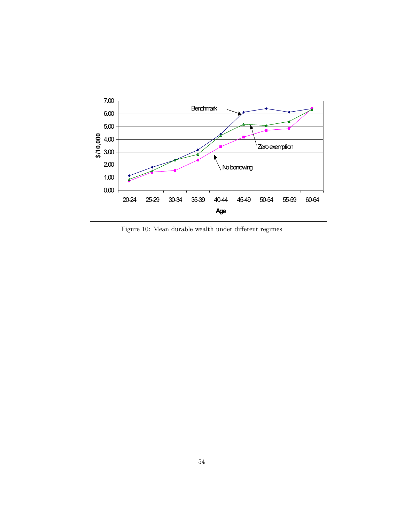

Figure 10: Mean durable wealth under different regimes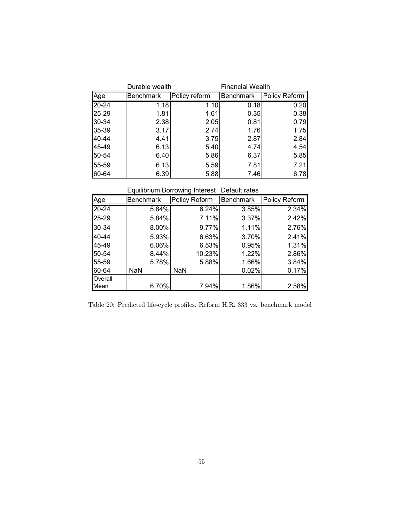|           | Durable wealth   | <b>Financial Wealth</b> |                  |               |
|-----------|------------------|-------------------------|------------------|---------------|
| Age       | <b>Benchmark</b> | Policy reform           | <b>Benchmark</b> | Policy Reform |
| $20 - 24$ | 1.18             | 1.10                    | 0.18             | 0.20          |
| 25-29     | 1.81             | 1.61                    | 0.35             | 0.38          |
| 30-34     | 2.38             | 2.05                    | 0.81             | 0.79          |
| 35-39     | 3.17             | 2.74                    | 1.76             | 1.75          |
| 40-44     | 4.41             | 3.75                    | 2.87             | 2.84          |
| 45-49     | 6.13             | 5.40                    | 4.74             | 4.54          |
| 50-54     | 6.40             | 5.86                    | 6.37             | 5.85          |
| 55-59     | 6.13             | 5.59                    | 7.81             | 7.21          |
| 60-64     | 6.39             | 5.88                    | 7.46             | 6.78          |

Equilibrium Borrowing Interest Default rates

| Age       | Benchmark  | Policy Reform | <b>Benchmark</b> | Policy Reform |
|-----------|------------|---------------|------------------|---------------|
| $20 - 24$ | $5.84\%$   | 6.24%         | 3.85%            | 2.34%         |
| 25-29     | 5.84%      | 7.11%         | 3.37%            | 2.42%         |
| 30-34     | $8.00\%$   | 9.77%         | 1.11%            | 2.76%         |
| 40-44     | 5.93%      | 6.63%         | 3.70%            | 2.41%         |
| 45-49     | $6.06\%$   | 6.53%         | 0.95%            | 1.31%         |
| 50-54     | 8.44%      | 10.23%        | 1.22%            | 2.86%         |
| 55-59     | 5.78%      | 5.88%         | 1.66%            | 3.84%         |
| 60-64     | <b>NaN</b> | NaN           | 0.02%            | 0.17%         |
| Overall   |            |               |                  |               |
| Mean      | 6.70%      | 7.94%         | 1.86%            | 2.58%         |

Table 20: Predicted life-cycle profiles, Reform H.R. 333 vs. benchmark model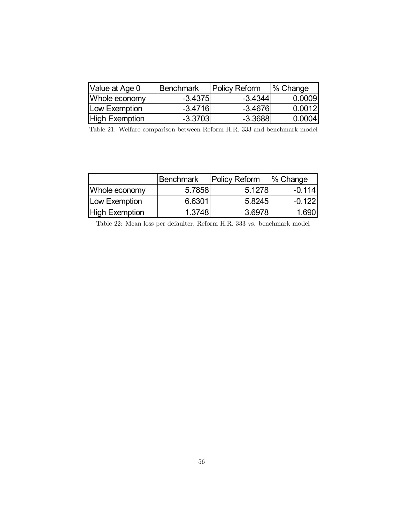| Value at Age 0        | Benchmark | <b>Policy Reform</b> | $\frac{1}{6}$ Change |  |
|-----------------------|-----------|----------------------|----------------------|--|
| Whole economy         | $-3.4375$ | $-3.4344$            | 0.0009               |  |
| Low Exemption         | $-3.4716$ | -3.46761             | 0.0012               |  |
| <b>High Exemption</b> | $-3.3703$ | $-3.3688$            | 0.0004               |  |

Table 21: Welfare comparison between Reform H.R. 333 and benchmark model

|                       | <b>Benchmark</b> | <b>Policy Reform</b> | % Change |
|-----------------------|------------------|----------------------|----------|
| Whole economy         | 5.7858           | 5.1278               | $-0.114$ |
| Low Exemption         | 6.6301           | 5.8245               | $-0.122$ |
| <b>High Exemption</b> | 1.3748           | 3.6978               | 1.690    |

Table 22: Mean loss per defaulter, Reform H.R. 333 vs. benchmark model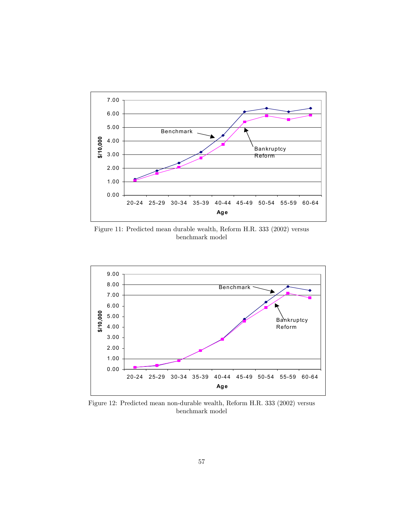

Figure 11: Predicted mean durable wealth, Reform H.R. 333 (2002) versus benchmark model



Figure 12: Predicted mean non-durable wealth, Reform H.R. 333 (2002) versus benchmark model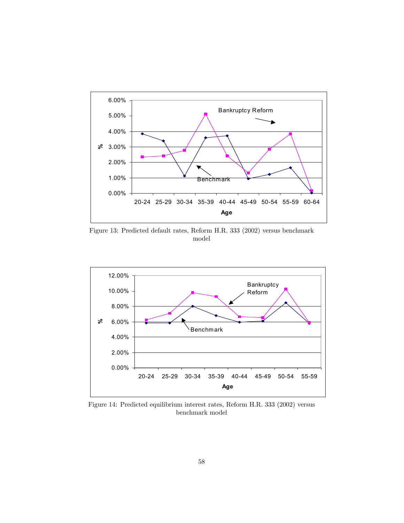

Figure 13: Predicted default rates, Reform H.R. 333 (2002) versus benchmark model



Figure 14: Predicted equilibrium interest rates, Reform H.R. 333 (2002) versus benchmark model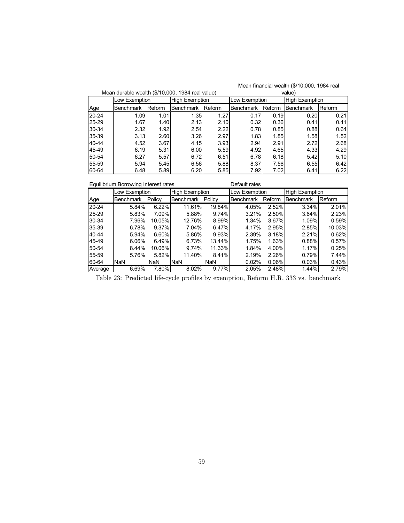| Mean durable wealth (\$/10,000, 1984 real value) |                  |        |                       |        |               |        | value)                |        |
|--------------------------------------------------|------------------|--------|-----------------------|--------|---------------|--------|-----------------------|--------|
|                                                  | Low Exemption    |        | <b>High Exemption</b> |        | Low Exemption |        | <b>High Exemption</b> |        |
| Age                                              | <b>Benchmark</b> | Reform | <b>Benchmark</b>      | Reform | Benchmark     | Reform | Benchmark             | Reform |
| $20 - 24$                                        | 1.09             | 1.01   | 1.35                  | 1.27   | 0.17          | 0.19   | 0.20                  | 0.21   |
| 25-29                                            | 1.67             | 1.40   | 2.13                  | 2.10   | 0.32          | 0.36   | 0.41                  | 0.41   |
| 30-34                                            | 2.32             | 1.92   | 2.54                  | 2.22   | 0.78          | 0.85   | 0.88                  | 0.64   |
| 35-39                                            | 3.13             | 2.60   | 3.26                  | 2.97   | 1.83          | 1.85   | 1.58                  | 1.52   |
| 40-44                                            | 4.52             | 3.67   | 4.15                  | 3.93   | 2.94          | 2.91   | 2.72I                 | 2.68   |
| 45-49                                            | 6.19             | 5.31   | 6.00                  | 5.59   | 4.92          | 4.65   | 4.33                  | 4.29   |
| 50-54                                            | 6.27             | 5.57   | 6.72                  | 6.51   | 6.78          | 6.18   | 5.42                  | 5.10   |
| 55-59                                            | 5.94             | 5.45   | 6.56                  | 5.88   | 8.37          | 7.56   | 6.55                  | 6.42   |
| 60-64                                            | 6.48             | 5.89   | 6.20                  | 5.85   | 7.92          | 7.02   | 6.41                  | 6.22   |

| Equilibrium Borrowing Interest rates |                  |           |                       | Default rates |               |        |           |                       |  |
|--------------------------------------|------------------|-----------|-----------------------|---------------|---------------|--------|-----------|-----------------------|--|
|                                      | Low Exemption    |           | <b>High Exemption</b> |               | Low Exemption |        |           | <b>High Exemption</b> |  |
| Age                                  | <b>Benchmark</b> | Policy    | <b>Benchmark</b>      | Policy        | Benchmark     | Reform | Benchmark | Reform                |  |
| $20 - 24$                            | 5.84%            | 6.22%     | 11.61%                | 19.84%        | 4.05%         | 2.52%  | 3.34%     | 2.01%                 |  |
| $25 - 29$                            | 5.83%            | 7.09%     | 5.88%                 | 9.74%         | 3.21%         | 2.50%  | 3.64%     | 2.23%                 |  |
| 30-34                                | 7.96%            | $10.05\%$ | 12.76%                | 8.99%         | 1.34%         | 3.67%  | 1.09%     | 0.59%                 |  |
| 35-39                                | 6.78%            | $9.37\%$  | 7.04%                 | 6.47%         | 4.17%         | 2.95%  | 2.85%     | 10.03%                |  |
| 40-44                                | 5.94%            | $6.60\%$  | 5.86%                 | 9.93%         | 2.39%         | 3.18%  | 2.21%     | 0.62%                 |  |
| 45-49                                | 6.06%            | 6.49%     | 6.73%                 | 13.44%        | 1.75%         | 1.63%  | 0.88%     | 0.57%                 |  |
| 50-54                                | 8.44%            | 10.06%    | 9.74%                 | 11.33%        | 1.84%         | 4.00%  | 1.17%     | 0.25%                 |  |
| 55-59                                | 5.76%            | $5.82\%$  | 11.40%                | 8.41%         | 2.19%         | 2.26%  | 0.79%     | 7.44%                 |  |
| 60-64                                | <b>NaN</b>       | NaN       | <b>NaN</b>            | NaN           | 0.02%         | 0.06%  | 0.03%     | 0.43%                 |  |
| Average                              | 6.69%            | 7.80%     | 8.02%                 | $9.77\%$      | 2.05%         | 2.48%  | 1.44%     | 2.79%                 |  |

Table 23: Predicted life-cycle profiles by exemption, Reform H.R. 333 vs. benchmark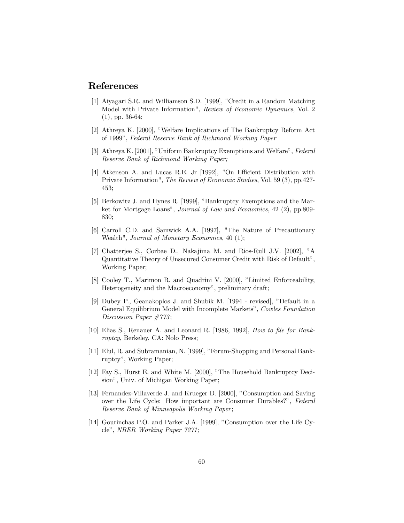# References

- [1] Aiyagari S.R. and Williamson S.D. [1999], "Credit in a Random Matching Model with Private Information", Review of Economic Dynamics, Vol. 2 (1), pp. 36-64;
- [2] Athreya K. [2000], "Welfare Implications of The Bankruptcy Reform Act of 1999", Federal Reserve Bank of Richmond Working Paper
- [3] Athreya K. [2001], "Uniform Bankruptcy Exemptions and Welfare", Federal Reserve Bank of Richmond Working Paper;
- [4] Atkenson A. and Lucas R.E. Jr [1992], "On Efficient Distribution with Private Information", The Review of Economic Studies, Vol. 59 (3), pp.427- 453;
- [5] Berkowitz J. and Hynes R. [1999], "Bankruptcy Exemptions and the Market for Mortgage Loans", Journal of Law and Economics, 42 (2), pp.809- 830;
- [6] Carroll C.D. and Samwick A.A. [1997], "The Nature of Precautionary Wealth", Journal of Monetary Economics, 40 (1);
- [7] Chatterjee S., Corbae D., Nakajima M. and Rios-Rull J.V. [2002], "A Quantitative Theory of Unsecured Consumer Credit with Risk of Default", Working Paper;
- [8] Cooley T., Marimon R. and Quadrini V. [2000], "Limited Enforceability, Heterogeneity and the Macroeconomy", preliminary draft;
- [9] Dubey P., Geanakoplos J. and Shubik M. [1994 revised], "Default in a General Equilibrium Model with Incomplete Markets", Cowles Foundation Discussion Paper #773;
- [10] Elias S., Renauer A. and Leonard R. [1986, 1992], How to file for Bankruptcy, Berkeley, CA: Nolo Press;
- [11] Elul, R. and Subramanian, N. [1999], "Forum-Shopping and Personal Bankruptcy", Working Paper;
- [12] Fay S., Hurst E. and White M. [2000], "The Household Bankruptcy Decision", Univ. of Michigan Working Paper;
- [13] Fernandez-Villaverde J. and Krueger D. [2000], "Consumption and Saving over the Life Cycle: How important are Consumer Durables?", Federal Reserve Bank of Minneapolis Working Paper;
- [14] Gourinchas P.O. and Parker J.A. [1999], "Consumption over the Life Cycle", NBER Working Paper 7271;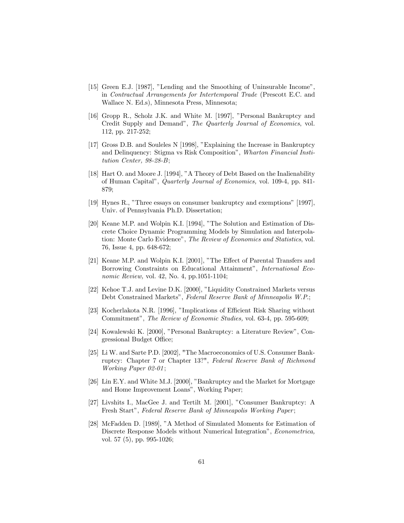- [15] Green E.J. [1987], "Lending and the Smoothing of Uninsurable Income", in Contractual Arrangements for Intertemporal Trade (Prescott E.C. and Wallace N. Ed.s), Minnesota Press, Minnesota;
- [16] Gropp R., Scholz J.K. and White M. [1997], "Personal Bankruptcy and Credit Supply and Demand", The Quarterly Journal of Economics, vol. 112, pp. 217-252;
- [17] Gross D.B. and Souleles N [1998], "Explaining the Increase in Bankruptcy and Delinquency: Stigma vs Risk Composition", Wharton Financial Institution Center, 98-28-B;
- [18] Hart O. and Moore J. [1994], "A Theory of Debt Based on the Inalienability of Human Capital", Quarterly Journal of Economics, vol. 109-4, pp. 841- 879;
- [19] Hynes R., "Three essays on consumer bankruptcy and exemptions" [1997], Univ. of Pennsylvania Ph.D. Dissertation;
- [20] Keane M.P. and Wolpin K.I. [1994], "The Solution and Estimation of Discrete Choice Dynamic Programming Models by Simulation and Interpolation: Monte Carlo Evidence", The Review of Economics and Statistics, vol. 76, Issue 4, pp. 648-672;
- [21] Keane M.P. and Wolpin K.I. [2001], "The Effect of Parental Transfers and Borrowing Constraints on Educational Attainment", International Economic Review, vol. 42, No. 4, pp.1051-1104;
- [22] Kehoe T.J. and Levine D.K. [2000], "Liquidity Constrained Markets versus Debt Constrained Markets", Federal Reserve Bank of Minneapolis W.P.;
- [23] Kocherlakota N.R. [1996], "Implications of Efficient Risk Sharing without Commitment", The Review of Economic Studies, vol. 63-4, pp. 595-609;
- [24] Kowalewski K. [2000], "Personal Bankruptcy: a Literature Review", Congressional Budget Office;
- [25] Li W. and Sarte P.D. [2002], "The Macroeconomics of U.S. Consumer Bankruptcy: Chapter 7 or Chapter 13?", Federal Reserve Bank of Richmond Working Paper 02-01;
- [26] Lin E.Y. and White M.J. [2000], "Bankruptcy and the Market for Mortgage and Home Improvement Loans", Working Paper;
- [27] Livshits I., MacGee J. and Tertilt M. [2001], "Consumer Bankruptcy: A Fresh Start", Federal Reserve Bank of Minneapolis Working Paper;
- [28] McFadden D. [1989], "A Method of Simulated Moments for Estimation of Discrete Response Models without Numerical Integration", Econometrica, vol. 57 (5), pp. 995-1026;